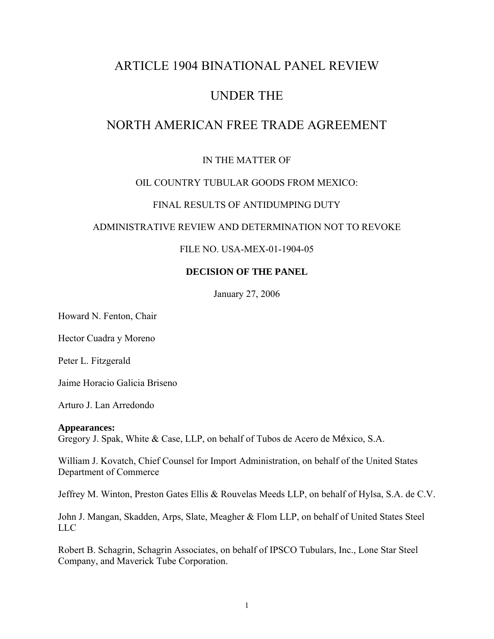## ARTICLE 1904 BINATIONAL PANEL REVIEW

# UNDER THE

# NORTH AMERICAN FREE TRADE AGREEMENT

## IN THE MATTER OF

## OIL COUNTRY TUBULAR GOODS FROM MEXICO:

## FINAL RESULTS OF ANTIDUMPING DUTY

### ADMINISTRATIVE REVIEW AND DETERMINATION NOT TO REVOKE

## FILE NO. USA-MEX-01-1904-05

## **DECISION OF THE PANEL**

January 27, 2006

Howard N. Fenton, Chair

Hector Cuadra y Moreno

Peter L. Fitzgerald

Jaime Horacio Galicia Briseno

Arturo J. Lan Arredondo

#### **Appearances:**

Gregory J. Spak, White & Case, LLP, on behalf of Tubos de Acero de México, S.A.

William J. Kovatch, Chief Counsel for Import Administration, on behalf of the United States Department of Commerce

Jeffrey M. Winton, Preston Gates Ellis & Rouvelas Meeds LLP, on behalf of Hylsa, S.A. de C.V.

John J. Mangan, Skadden, Arps, Slate, Meagher & Flom LLP, on behalf of United States Steel LLC

Robert B. Schagrin, Schagrin Associates, on behalf of IPSCO Tubulars, Inc., Lone Star Steel Company, and Maverick Tube Corporation.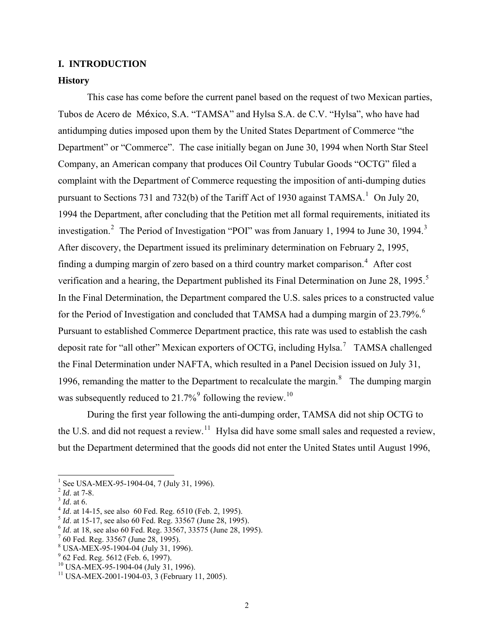#### **I. INTRODUCTION**

#### **History**

This case has come before the current panel based on the request of two Mexican parties, Tubos de Acero de México, S.A. "TAMSA" and Hylsa S.A. de C.V. "Hylsa", who have had antidumping duties imposed upon them by the United States Department of Commerce "the Department" or "Commerce". The case initially began on June 30, 1994 when North Star Steel Company, an American company that produces Oil Country Tubular Goods "OCTG" filed a complaint with the Department of Commerce requesting the imposition of anti-dumping duties pursuant to Sections 73[1](#page-1-0) and 732(b) of the Tariff Act of 1930 against TAMSA.<sup>1</sup> On July 20, 1994 the Department, after concluding that the Petition met all formal requirements, initiated its investigation.<sup>[2](#page-1-1)</sup> The Period of Investigation "POI" was from January 1, 1994 to June [3](#page-1-2)0, 1994.<sup>3</sup> After discovery, the Department issued its preliminary determination on February 2, 1995, finding a dumping margin of zero based on a third country market comparison.<sup>[4](#page-1-3)</sup> After cost verification and a hearing, the Department published its Final Determination on June 28, 199[5](#page-1-4).<sup>5</sup> In the Final Determination, the Department compared the U.S. sales prices to a constructed value for the Period of Investigation and concluded that TAMSA had a dumping margin of 23.79%.<sup>[6](#page-1-5)</sup> Pursuant to established Commerce Department practice, this rate was used to establish the cash deposit rate for "all other" Mexican exporters of OCTG, including Hylsa.<sup>[7](#page-1-6)</sup> TAMSA challenged the Final Determination under NAFTA, which resulted in a Panel Decision issued on July 31, 1996, remanding the matter to the Department to recalculate the margin. $\delta$  The dumping margin was subsequently reduced to  $21.7\%$ <sup>[9](#page-1-8)</sup> following the review.<sup>[10](#page-1-9)</sup>

During the first year following the anti-dumping order, TAMSA did not ship OCTG to the U.S. and did not request a review.<sup>[11](#page-1-10)</sup> Hylsa did have some small sales and requested a review, but the Department determined that the goods did not enter the United States until August 1996,

<sup>1</sup> See USA-MEX-95-1904-04, 7 (July 31, 1996).

<span id="page-1-1"></span><span id="page-1-0"></span> $\frac{2}{3}$  *Id.* at 7-8.  $\frac{3}{3}$  *Id.* at 6.

<span id="page-1-2"></span>

<span id="page-1-3"></span><sup>&</sup>lt;sup>4</sup> *Id.* at 14-15, see also 60 Fed. Reg. 6510 (Feb. 2, 1995).<br><sup>5</sup> *Id.* at 15-17, see also 60 Fed. Reg. 33567 (June 28, 1995).

<span id="page-1-4"></span>

<span id="page-1-5"></span><sup>&</sup>lt;sup>6</sup> *Id.* at 18, see also 60 Fed. Reg. 33567, 33575 (June 28, 1995).

<span id="page-1-6"></span> $1/7$  60 Fed. Reg. 33567 (June 28, 1995).

<span id="page-1-7"></span><sup>8</sup> USA-MEX-95-1904-04 (July 31, 1996).

<span id="page-1-8"></span><sup>9</sup> 62 Fed. Reg. 5612 (Feb. 6, 1997).

<span id="page-1-10"></span><span id="page-1-9"></span>

<sup>&</sup>lt;sup>10</sup> USA-MEX-95-1904-04 (July 31, 1996).<br><sup>11</sup> USA-MEX-2001-1904-03, 3 (February 11, 2005).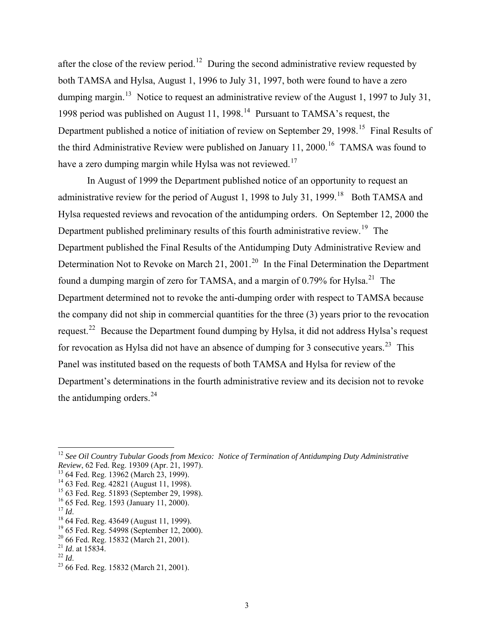after the close of the review period.<sup>[12](#page-2-0)</sup> During the second administrative review requested by both TAMSA and Hylsa, August 1, 1996 to July 31, 1997, both were found to have a zero dumping margin.<sup>[13](#page-2-1)</sup> Notice to request an administrative review of the August 1, 1997 to July 31, 1998 period was published on August 11, 1998.<sup>[14](#page-2-2)</sup> Pursuant to TAMSA's request, the Department published a notice of initiation of review on September 29, 1998.<sup>[15](#page-2-3)</sup> Final Results of the third Administrative Review were published on January 11, 2000.<sup>[16](#page-2-4)</sup> TAMSA was found to have a zero dumping margin while Hylsa was not reviewed.<sup>[17](#page-2-5)</sup>

In August of 1999 the Department published notice of an opportunity to request an administrative review for the period of August 1, 1998 to July 31, 1999.<sup>[18](#page-2-6)</sup> Both TAMSA and Hylsa requested reviews and revocation of the antidumping orders. On September 12, 2000 the Department published preliminary results of this fourth administrative review.<sup>[19](#page-2-7)</sup> The Department published the Final Results of the Antidumping Duty Administrative Review and Determination Not to Revoke on March 21, [20](#page-2-8)01.<sup>20</sup> In the Final Determination the Department found a dumping margin of zero for TAMSA, and a margin of  $0.79\%$  for Hylsa.<sup>[21](#page-2-9)</sup> The Department determined not to revoke the anti-dumping order with respect to TAMSA because the company did not ship in commercial quantities for the three (3) years prior to the revocation request.[22](#page-2-10) Because the Department found dumping by Hylsa, it did not address Hylsa's request for revocation as Hylsa did not have an absence of dumping for 3 consecutive years.<sup>[23](#page-2-11)</sup> This Panel was instituted based on the requests of both TAMSA and Hylsa for review of the Department's determinations in the fourth administrative review and its decision not to revoke the antidumping orders. $24$ 

<span id="page-2-3"></span>15 63 Fed. Reg. 51893 (September 29, 1998).

 $\overline{a}$ 

<span id="page-2-7"></span>19 65 Fed. Reg. 54998 (September 12, 2000).

<span id="page-2-0"></span><sup>12</sup> *See Oil Country Tubular Goods from Mexico: Notice of Termination of Antidumping Duty Administrative Review*, 62 Fed. Reg. 19309 (Apr. 21, 1997).<br><sup>13</sup> 64 Fed. Reg. 13962 (March 23, 1999).

<span id="page-2-1"></span>

<span id="page-2-2"></span><sup>14 63</sup> Fed. Reg. 42821 (August 11, 1998).

<span id="page-2-4"></span> $^{16}$  65 Fed. Reg. 1593 (January 11, 2000).<br><sup>17</sup> Id.

<span id="page-2-6"></span><span id="page-2-5"></span><sup>&</sup>lt;sup>18</sup> 64 Fed. Reg. 43649 (August 11, 1999).

<span id="page-2-8"></span> $^{20}$  66 Fed. Reg. 15832 (March 21, 2001).<br><sup>21</sup> *Id.* at 15834.

<span id="page-2-11"></span><span id="page-2-10"></span><span id="page-2-9"></span><sup>&</sup>lt;sup>22</sup> *Id.* <sup>23</sup> *Id.* <sup>23</sup> 66 Fed. Reg. 15832 (March 21, 2001).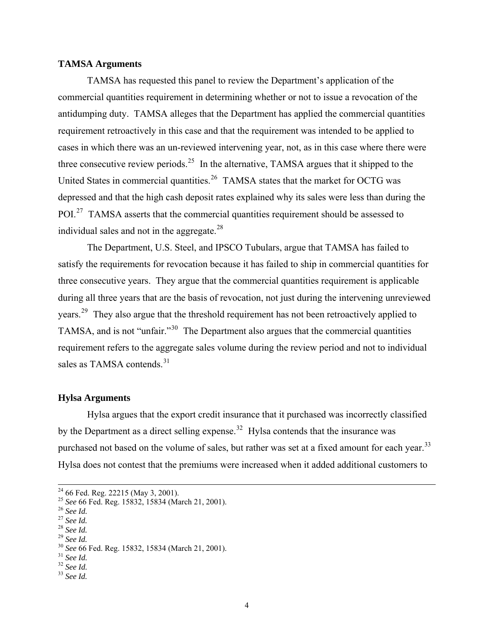#### **TAMSA Arguments**

TAMSA has requested this panel to review the Department's application of the commercial quantities requirement in determining whether or not to issue a revocation of the antidumping duty. TAMSA alleges that the Department has applied the commercial quantities requirement retroactively in this case and that the requirement was intended to be applied to cases in which there was an un-reviewed intervening year, not, as in this case where there were three consecutive review periods.<sup>[25](#page-3-0)</sup> In the alternative, TAMSA argues that it shipped to the United States in commercial quantities.<sup>[26](#page-3-1)</sup> TAMSA states that the market for OCTG was depressed and that the high cash deposit rates explained why its sales were less than during the POI.<sup>[27](#page-3-2)</sup> TAMSA asserts that the commercial quantities requirement should be assessed to individual sales and not in the aggregate. $28$ 

The Department, U.S. Steel, and IPSCO Tubulars, argue that TAMSA has failed to satisfy the requirements for revocation because it has failed to ship in commercial quantities for three consecutive years. They argue that the commercial quantities requirement is applicable during all three years that are the basis of revocation, not just during the intervening unreviewed years.<sup>[29](#page-3-4)</sup> They also argue that the threshold requirement has not been retroactively applied to TAMSA, and is not "unfair."<sup>[30](#page-3-5)</sup> The Department also argues that the commercial quantities requirement refers to the aggregate sales volume during the review period and not to individual sales as TAMSA contends.<sup>[31](#page-3-6)</sup>

#### **Hylsa Arguments**

Hylsa argues that the export credit insurance that it purchased was incorrectly classified by the Department as a direct selling expense.<sup>[32](#page-3-7)</sup> Hylsa contends that the insurance was purchased not based on the volume of sales, but rather was set at a fixed amount for each year.<sup>[33](#page-3-8)</sup> Hylsa does not contest that the premiums were increased when it added additional customers to

<span id="page-3-3"></span>

<sup>&</sup>lt;sup>24</sup> 66 Fed. Reg. 22215 (May 3, 2001).<br><sup>25</sup> See 66 Fed. Reg. 15832, 15834 (March 21, 2001).

<span id="page-3-5"></span><span id="page-3-4"></span>

<span id="page-3-2"></span><span id="page-3-1"></span><span id="page-3-0"></span><sup>&</sup>lt;sup>26</sup> See Id.<br>
<sup>27</sup> See Id.<br>
<sup>28</sup> See Id.<br>
<sup>29</sup> See Id.<br>
<sup>30</sup> See 66 Fed. Reg. 15832, 15834 (March 21, 2001).<br>
<sup>31</sup> See Id.<br>
<sup>32</sup> See Id.<br>
<sup>33</sup> See Id.

<span id="page-3-7"></span><span id="page-3-6"></span>

<span id="page-3-8"></span>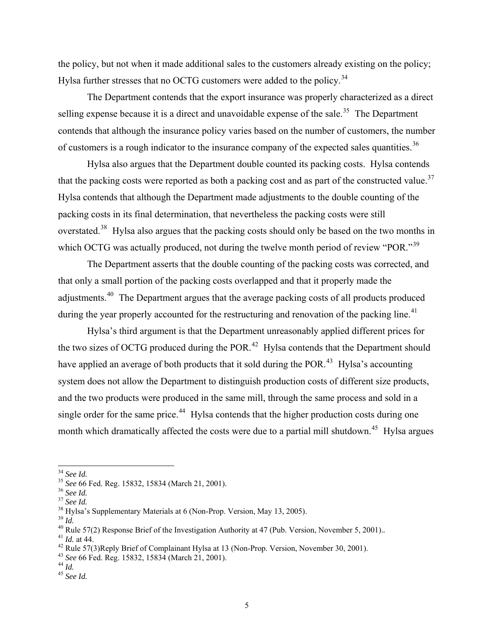the policy, but not when it made additional sales to the customers already existing on the policy; Hylsa further stresses that no OCTG customers were added to the policy.<sup>[34](#page-4-0)</sup>

The Department contends that the export insurance was properly characterized as a direct selling expense because it is a direct and unavoidable expense of the sale.<sup>[35](#page-4-1)</sup> The Department contends that although the insurance policy varies based on the number of customers, the number of customers is a rough indicator to the insurance company of the expected sales quantities.<sup>[36](#page-4-2)</sup>

Hylsa also argues that the Department double counted its packing costs. Hylsa contends that the packing costs were reported as both a packing cost and as part of the constructed value.<sup>[37](#page-4-3)</sup> Hylsa contends that although the Department made adjustments to the double counting of the packing costs in its final determination, that nevertheless the packing costs were still overstated.<sup>[38](#page-4-4)</sup> Hylsa also argues that the packing costs should only be based on the two months in which OCTG was actually produced, not during the twelve month period of review "POR."<sup>[39](#page-4-5)</sup>

The Department asserts that the double counting of the packing costs was corrected, and that only a small portion of the packing costs overlapped and that it properly made the adjustments.<sup>[40](#page-4-6)</sup> The Department argues that the average packing costs of all products produced during the year properly accounted for the restructuring and renovation of the packing line.<sup>[41](#page-4-7)</sup>

Hylsa's third argument is that the Department unreasonably applied different prices for the two sizes of OCTG produced during the POR.<sup>[42](#page-4-8)</sup> Hylsa contends that the Department should have applied an average of both products that it sold during the POR.<sup>[43](#page-4-9)</sup> Hylsa's accounting system does not allow the Department to distinguish production costs of different size products, and the two products were produced in the same mill, through the same process and sold in a single order for the same price.<sup>[44](#page-4-10)</sup> Hylsa contends that the higher production costs during one month which dramatically affected the costs were due to a partial mill shutdown.<sup>[45](#page-4-11)</sup> Hylsa argues

<span id="page-4-0"></span> $^{34}$  See Id.

<span id="page-4-2"></span>

<span id="page-4-4"></span><span id="page-4-3"></span>

<span id="page-4-1"></span><sup>&</sup>lt;sup>35</sup> *See* 66 Fed. Reg. 15832, 15834 (March 21, 2001).<br><sup>36</sup> *See Id.* <sup>37</sup> *See Id.* <sup>37</sup> *See Id.* <sup>38</sup> Hylsa's Supplementary Materials at 6 (Non-Prop. Version, May 13, 2005).<br><sup>39</sup> *Id* 

<span id="page-4-7"></span><span id="page-4-6"></span><span id="page-4-5"></span><sup>&</sup>lt;sup>40</sup> Rule 57(2) Response Brief of the Investigation Authority at 47 (Pub. Version, November 5, 2001).<br><sup>41</sup> *Id.* at 44.<br><sup>42</sup> Rule 57(3)Reply Brief of Complainant Hylsa at 13 (Non-Prop. Version, November 30, 2001).<br><sup>43</sup> *S* 

<span id="page-4-9"></span><span id="page-4-8"></span>

<span id="page-4-11"></span><span id="page-4-10"></span>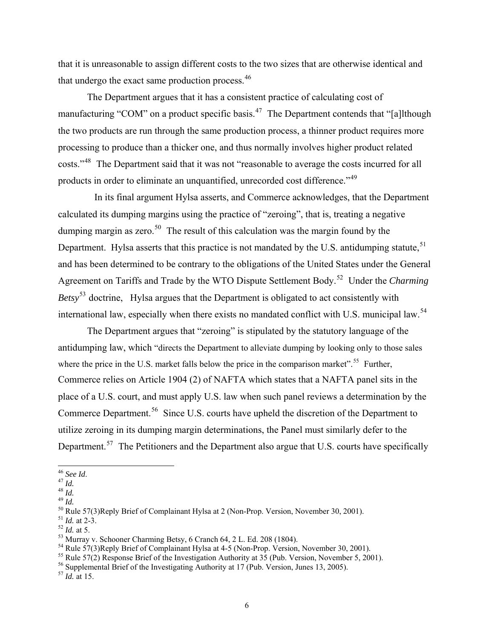that it is unreasonable to assign different costs to the two sizes that are otherwise identical and that undergo the exact same production process.<sup>[46](#page-5-0)</sup>

The Department argues that it has a consistent practice of calculating cost of manufacturing "COM" on a product specific basis.<sup>[47](#page-5-1)</sup> The Department contends that "[a]lthough the two products are run through the same production process, a thinner product requires more processing to produce than a thicker one, and thus normally involves higher product related costs."[48](#page-5-2) The Department said that it was not "reasonable to average the costs incurred for all products in order to eliminate an unquantified, unrecorded cost difference."[49](#page-5-3)

In its final argument Hylsa asserts, and Commerce acknowledges, that the Department calculated its dumping margins using the practice of "zeroing", that is, treating a negative dumping margin as zero.<sup>[50](#page-5-4)</sup> The result of this calculation was the margin found by the Department. Hylsa asserts that this practice is not mandated by the U.S. antidumping statute.<sup>[51](#page-5-5)</sup> and has been determined to be contrary to the obligations of the United States under the General Agreement on Tariffs and Trade by the WTO Dispute Settlement Body.[52](#page-5-6) Under the *Charming Betsy*[53](#page-5-7) doctrine, Hylsa argues that the Department is obligated to act consistently with international law, especially when there exists no mandated conflict with U.S. municipal law.[54](#page-5-8)

The Department argues that "zeroing" is stipulated by the statutory language of the antidumping law, which "directs the Department to alleviate dumping by looking only to those sales where the price in the U.S. market falls below the price in the comparison market".<sup>[55](#page-5-9)</sup> Further, Commerce relies on Article 1904 (2) of NAFTA which states that a NAFTA panel sits in the place of a U.S. court, and must apply U.S. law when such panel reviews a determination by the Commerce Department.<sup>[56](#page-5-10)</sup> Since U.S. courts have upheld the discretion of the Department to utilize zeroing in its dumping margin determinations, the Panel must similarly defer to the Department.<sup>[57](#page-5-11)</sup> The Petitioners and the Department also argue that U.S. courts have specifically

<span id="page-5-11"></span><sup>57</sup> *Id.* at 15.

<span id="page-5-0"></span> $^{46}$  See Id.

<span id="page-5-2"></span>

<span id="page-5-4"></span><span id="page-5-3"></span>

<span id="page-5-1"></span><sup>&</sup>lt;sup>47</sup> *Id.*<br><sup>48</sup> *Id.*<br><sup>49</sup> *Id.*<br><sup>50</sup> Rule 57(3)Reply Brief of Complainant Hylsa at 2 (Non-Prop. Version, November 30, 2001).<br><sup>51</sup> *Id.* at 2-3.<br><sup>52</sup> *Id.* at 5.<br><sup>53</sup> Murray v. Schooner Charming Betsy, 6 Cranch 64, 2 L. E

<span id="page-5-6"></span><span id="page-5-5"></span>

<span id="page-5-7"></span>

<span id="page-5-9"></span><span id="page-5-8"></span><sup>&</sup>lt;sup>55</sup> Rule 57(2) Response Brief of the Investigation Authority at  $35$  (Pub. Version, November 5, 2001).

<span id="page-5-10"></span><sup>56</sup> Supplemental Brief of the Investigating Authority at 17 (Pub. Version, Junes 13, 2005).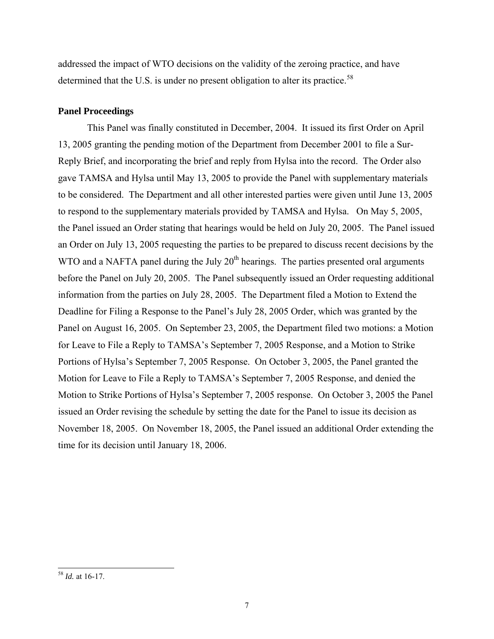addressed the impact of WTO decisions on the validity of the zeroing practice, and have determined that the U.S. is under no present obligation to alter its practice.<sup>[58](#page-6-0)</sup>

### **Panel Proceedings**

This Panel was finally constituted in December, 2004. It issued its first Order on April 13, 2005 granting the pending motion of the Department from December 2001 to file a Sur-Reply Brief, and incorporating the brief and reply from Hylsa into the record. The Order also gave TAMSA and Hylsa until May 13, 2005 to provide the Panel with supplementary materials to be considered. The Department and all other interested parties were given until June 13, 2005 to respond to the supplementary materials provided by TAMSA and Hylsa. On May 5, 2005, the Panel issued an Order stating that hearings would be held on July 20, 2005. The Panel issued an Order on July 13, 2005 requesting the parties to be prepared to discuss recent decisions by the WTO and a NAFTA panel during the July  $20<sup>th</sup>$  hearings. The parties presented oral arguments before the Panel on July 20, 2005. The Panel subsequently issued an Order requesting additional information from the parties on July 28, 2005. The Department filed a Motion to Extend the Deadline for Filing a Response to the Panel's July 28, 2005 Order, which was granted by the Panel on August 16, 2005. On September 23, 2005, the Department filed two motions: a Motion for Leave to File a Reply to TAMSA's September 7, 2005 Response, and a Motion to Strike Portions of Hylsa's September 7, 2005 Response. On October 3, 2005, the Panel granted the Motion for Leave to File a Reply to TAMSA's September 7, 2005 Response, and denied the Motion to Strike Portions of Hylsa's September 7, 2005 response. On October 3, 2005 the Panel issued an Order revising the schedule by setting the date for the Panel to issue its decision as November 18, 2005. On November 18, 2005, the Panel issued an additional Order extending the time for its decision until January 18, 2006.

<span id="page-6-0"></span><sup>58</sup> *Id.* at 16-17.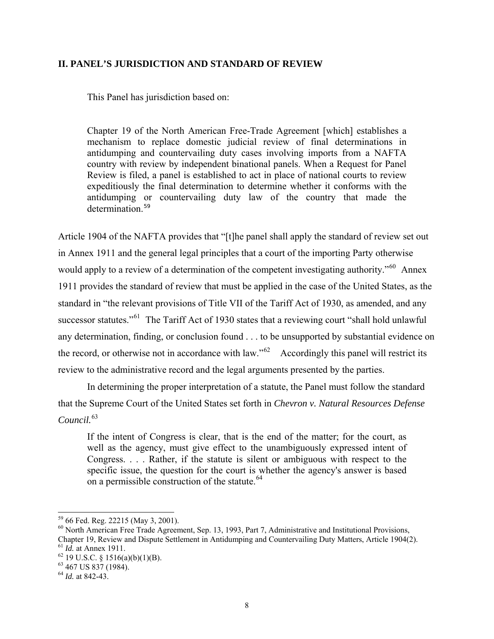### **II. PANEL'S JURISDICTION AND STANDARD OF REVIEW**

This Panel has jurisdiction based on:

Chapter 19 of the North American Free-Trade Agreement [which] establishes a mechanism to replace domestic judicial review of final determinations in antidumping and countervailing duty cases involving imports from a NAFTA country with review by independent binational panels. When a Request for Panel Review is filed, a panel is established to act in place of national courts to review expeditiously the final determination to determine whether it conforms with the antidumping or countervailing duty law of the country that made the determination.<sup>[59](#page-7-0)</sup>

Article 1904 of the NAFTA provides that "[t]he panel shall apply the standard of review set out in Annex 1911 and the general legal principles that a court of the importing Party otherwise would apply to a review of a determination of the competent investigating authority."<sup>[60](#page-7-1)</sup> Annex 1911 provides the standard of review that must be applied in the case of the United States, as the standard in "the relevant provisions of Title VII of the Tariff Act of 1930, as amended, and any successor statutes."<sup>[61](#page-7-2)</sup> The Tariff Act of 1930 states that a reviewing court "shall hold unlawful any determination, finding, or conclusion found . . . to be unsupported by substantial evidence on the record, or otherwise not in accordance with law." $62$  Accordingly this panel will restrict its review to the administrative record and the legal arguments presented by the parties.

In determining the proper interpretation of a statute, the Panel must follow the standard that the Supreme Court of the United States set forth in *Chevron v. Natural Resources Defense Council.*[63](#page-7-4)

If the intent of Congress is clear, that is the end of the matter; for the court, as well as the agency, must give effect to the unambiguously expressed intent of Congress. . . . Rather, if the statute is silent or ambiguous with respect to the specific issue, the question for the court is whether the agency's answer is based on a permissible construction of the statute.<sup>[64](#page-7-5)</sup>

<span id="page-7-0"></span><sup>59 66</sup> Fed. Reg. 22215 (May 3, 2001).

<span id="page-7-1"></span><sup>60</sup> North American Free Trade Agreement, Sep. 13, 1993, Part 7, Administrative and Institutional Provisions, Chapter 19, Review and Dispute Settlement in Antidumping and Countervailing Duty Matters, Article 1904(2).<br><sup>61</sup> *Id.* at Annex 1911. 62 19 U.S.C. § 1516(a)(b)(1)(B).

<span id="page-7-3"></span><span id="page-7-2"></span>

<span id="page-7-4"></span> $63$  467 US 837 (1984).

<span id="page-7-5"></span><sup>64</sup> *Id.* at 842-43.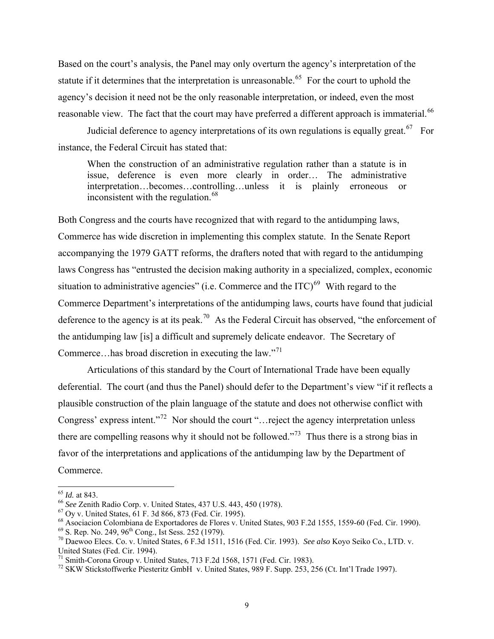Based on the court's analysis, the Panel may only overturn the agency's interpretation of the statute if it determines that the interpretation is unreasonable.<sup>[65](#page-8-0)</sup> For the court to uphold the agency's decision it need not be the only reasonable interpretation, or indeed, even the most reasonable view. The fact that the court may have preferred a different approach is immaterial.<sup>[66](#page-8-1)</sup>

Judicial deference to agency interpretations of its own regulations is equally great.<sup>[67](#page-8-2)</sup> For instance, the Federal Circuit has stated that:

When the construction of an administrative regulation rather than a statute is in issue, deference is even more clearly in order… The administrative interpretation…becomes…controlling…unless it is plainly erroneous or inconsistent with the regulation. $68$ 

Both Congress and the courts have recognized that with regard to the antidumping laws, Commerce has wide discretion in implementing this complex statute. In the Senate Report accompanying the 1979 GATT reforms, the drafters noted that with regard to the antidumping laws Congress has "entrusted the decision making authority in a specialized, complex, economic situation to administrative agencies" (i.e. Commerce and the  $ITC$ )<sup>[69](#page-8-4)</sup> With regard to the Commerce Department's interpretations of the antidumping laws, courts have found that judicial deference to the agency is at its peak.<sup>[70](#page-8-5)</sup> As the Federal Circuit has observed, "the enforcement of the antidumping law [is] a difficult and supremely delicate endeavor. The Secretary of Commerce...has broad discretion in executing the law."<sup>[71](#page-8-6)</sup>

Articulations of this standard by the Court of International Trade have been equally deferential. The court (and thus the Panel) should defer to the Department's view "if it reflects a plausible construction of the plain language of the statute and does not otherwise conflict with Congress' express intent."<sup>[72](#page-8-7)</sup> Nor should the court "... reject the agency interpretation unless there are compelling reasons why it should not be followed."<sup>[73](#page-8-8)</sup> Thus there is a strong bias in favor of the interpretations and applications of the antidumping law by the Department of Commerce.

<span id="page-8-8"></span><span id="page-8-1"></span><span id="page-8-0"></span><sup>&</sup>lt;sup>65</sup> *Id.* at 843. <sup>66</sup> *See Zenith Radio Corp. v. United States, 437 U.S. 443, 450 (1978).* <sup>67</sup> Oy v. United States, 61 F. 3d 866, 873 (Fed. Cir. 1995).

<span id="page-8-3"></span><span id="page-8-2"></span><sup>&</sup>lt;sup>68</sup> Asociacion Colombiana de Exportadores de Flores v. United States, 903 F.2d 1555, 1559-60 (Fed. Cir. 1990).<br><sup>69</sup> S. Rep. No. 249, 96<sup>th</sup> Cong., Ist Sess. 252 (1979).

<span id="page-8-5"></span><span id="page-8-4"></span><sup>69</sup> S. Rep. No. 249, 96th Cong., Ist Sess. 252 (1979). 70 Daewoo Elecs. Co. v. United States, 6 F.3d 1511, 1516 (Fed. Cir. 1993). *See also* Koyo Seiko Co., LTD. v. United States (Fed. Cir. 1994).

<sup>&</sup>lt;sup>71</sup> Smith-Corona Group v. United States, 713 F.2d 1568, 1571 (Fed. Cir. 1983).

<span id="page-8-7"></span><span id="page-8-6"></span><sup>72</sup> SKW Stickstoffwerke Piesteritz GmbH v. United States, 989 F. Supp. 253, 256 (Ct. Int'l Trade 1997).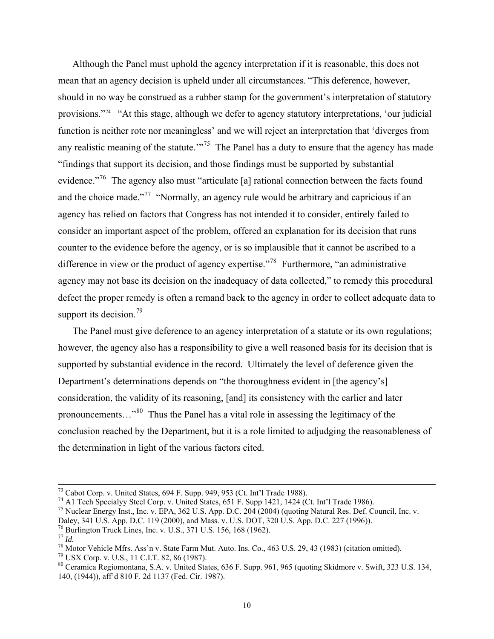Although the Panel must uphold the agency interpretation if it is reasonable, this does not mean that an agency decision is upheld under all circumstances. "This deference, however, should in no way be construed as a rubber stamp for the government's interpretation of statutory provisions."[74](#page-9-0) "At this stage, although we defer to agency statutory interpretations, 'our judicial function is neither rote nor meaningless' and we will reject an interpretation that 'diverges from any realistic meaning of the statute.<sup> $m75$  $m75$ </sup> The Panel has a duty to ensure that the agency has made "findings that support its decision, and those findings must be supported by substantial evidence."<sup>[76](#page-9-2)</sup> The agency also must "articulate [a] rational connection between the facts found and the choice made."<sup>[77](#page-9-3)</sup> "Normally, an agency rule would be arbitrary and capricious if an agency has relied on factors that Congress has not intended it to consider, entirely failed to consider an important aspect of the problem, offered an explanation for its decision that runs counter to the evidence before the agency, or is so implausible that it cannot be ascribed to a difference in view or the product of agency expertise."<sup>[78](#page-9-4)</sup> Furthermore, "an administrative agency may not base its decision on the inadequacy of data collected," to remedy this procedural defect the proper remedy is often a remand back to the agency in order to collect adequate data to support its decision.<sup>[79](#page-9-5)</sup>

The Panel must give deference to an agency interpretation of a statute or its own regulations; however, the agency also has a responsibility to give a well reasoned basis for its decision that is supported by substantial evidence in the record. Ultimately the level of deference given the Department's determinations depends on "the thoroughness evident in [the agency's] consideration, the validity of its reasoning, [and] its consistency with the earlier and later pronouncements…"[80](#page-9-6) Thus the Panel has a vital role in assessing the legitimacy of the conclusion reached by the Department, but it is a role limited to adjudging the reasonableness of the determination in light of the various factors cited.

 $^{73}$  Cabot Corp. v. United States, 694 F. Supp. 949, 953 (Ct. Int'l Trade 1988).

<span id="page-9-0"></span><sup>&</sup>lt;sup>74</sup> A1 Tech Specialyy Steel Corp. v. United States, 651 F. Supp 1421, 1424 (Ct. Int'l Trade 1986).

<span id="page-9-1"></span><sup>&</sup>lt;sup>75</sup> Nuclear Energy Inst., Inc. v. EPA, 362 U.S. App. D.C. 204 (2004) (quoting Natural Res. Def. Council, Inc. v. Daley, 341 U.S. App. D.C. 119 (2000), and Mass. v. U.S. DOT, 320 U.S. App. D.C. 227 (1996)). <sup>76</sup> Burlington Truck Lines, Inc. v. U.S., 371 U.S. 156, 168 (1962).

<span id="page-9-2"></span>

<span id="page-9-4"></span><span id="page-9-3"></span><sup>77</sup> *Id.* 78 Motor Vehicle Mfrs. Ass'n v. State Farm Mut. Auto. Ins. Co., 463 U.S. 29, 43 (1983) (citation omitted). 79 USX Corp. v. U.S., 11 C.I.T. 82, 86 (1987).

<span id="page-9-6"></span><span id="page-9-5"></span><sup>80</sup> Ceramica Regiomontana, S.A. v. United States, 636 F. Supp. 961, 965 (quoting Skidmore v. Swift, 323 U.S. 134, 140, (1944)), aff'd 810 F. 2d 1137 (Fed. Cir. 1987).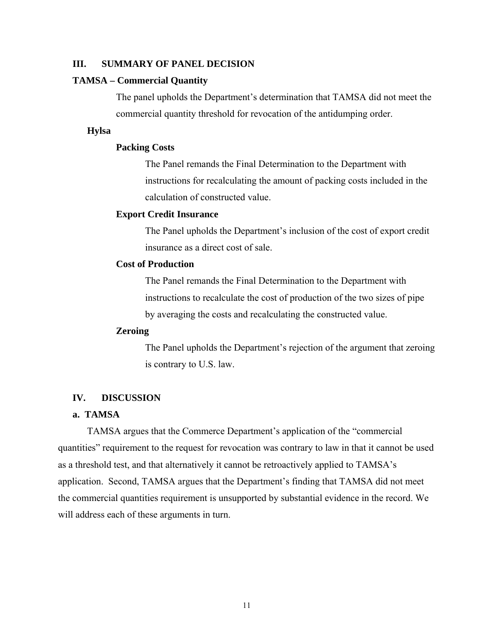### **III. SUMMARY OF PANEL DECISION**

#### **TAMSA – Commercial Quantity**

The panel upholds the Department's determination that TAMSA did not meet the commercial quantity threshold for revocation of the antidumping order.

#### **Hylsa**

### **Packing Costs**

The Panel remands the Final Determination to the Department with instructions for recalculating the amount of packing costs included in the calculation of constructed value.

#### **Export Credit Insurance**

The Panel upholds the Department's inclusion of the cost of export credit insurance as a direct cost of sale.

## **Cost of Production**

The Panel remands the Final Determination to the Department with instructions to recalculate the cost of production of the two sizes of pipe by averaging the costs and recalculating the constructed value.

### **Zeroing**

The Panel upholds the Department's rejection of the argument that zeroing is contrary to U.S. law.

### **IV. DISCUSSION**

## **a. TAMSA**

TAMSA argues that the Commerce Department's application of the "commercial quantities" requirement to the request for revocation was contrary to law in that it cannot be used as a threshold test, and that alternatively it cannot be retroactively applied to TAMSA's application. Second, TAMSA argues that the Department's finding that TAMSA did not meet the commercial quantities requirement is unsupported by substantial evidence in the record. We will address each of these arguments in turn.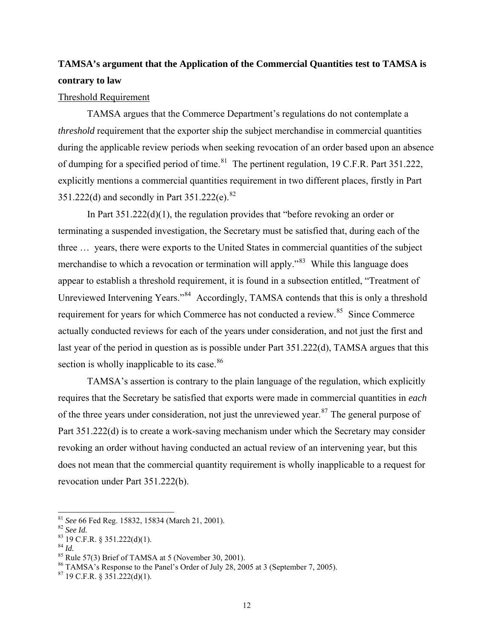## **TAMSA's argument that the Application of the Commercial Quantities test to TAMSA is contrary to law**

#### Threshold Requirement

TAMSA argues that the Commerce Department's regulations do not contemplate a *threshold* requirement that the exporter ship the subject merchandise in commercial quantities during the applicable review periods when seeking revocation of an order based upon an absence of dumping for a specified period of time.<sup>[81](#page-11-0)</sup> The pertinent regulation, 19 C.F.R. Part 351.222, explicitly mentions a commercial quantities requirement in two different places, firstly in Part 351.222(d) and secondly in Part 351.222(e).<sup>[82](#page-11-1)</sup>

In Part 351.222(d)(1), the regulation provides that "before revoking an order or terminating a suspended investigation, the Secretary must be satisfied that, during each of the three … years, there were exports to the United States in commercial quantities of the subject merchandise to which a revocation or termination will apply.<sup>[83](#page-11-2)</sup> While this language does appear to establish a threshold requirement, it is found in a subsection entitled, "Treatment of Unreviewed Intervening Years."<sup>[84](#page-11-3)</sup> Accordingly, TAMSA contends that this is only a threshold requirement for years for which Commerce has not conducted a review.<sup>[85](#page-11-4)</sup> Since Commerce actually conducted reviews for each of the years under consideration, and not just the first and last year of the period in question as is possible under Part 351.222(d), TAMSA argues that this section is wholly inapplicable to its case.<sup>[86](#page-11-5)</sup>

TAMSA's assertion is contrary to the plain language of the regulation, which explicitly requires that the Secretary be satisfied that exports were made in commercial quantities in *each* of the three years under consideration, not just the unreviewed year.<sup>[87](#page-11-6)</sup> The general purpose of Part 351.222(d) is to create a work-saving mechanism under which the Secretary may consider revoking an order without having conducted an actual review of an intervening year, but this does not mean that the commercial quantity requirement is wholly inapplicable to a request for revocation under Part 351.222(b).

<span id="page-11-1"></span><span id="page-11-0"></span><sup>&</sup>lt;sup>81</sup> *See* 66 Fed Reg. 15832, 15834 (March 21, 2001).<br><sup>82</sup> *See Id.* <sup>83</sup> 19 C.F.R. § 351.222(d)(1). <sup>84</sup> *Id* 

<span id="page-11-2"></span>

<span id="page-11-3"></span>

<span id="page-11-4"></span><sup>&</sup>lt;sup>85</sup> Rule 57(3) Brief of TAMSA at 5 (November 30, 2001).

<span id="page-11-5"></span><sup>86</sup> TAMSA's Response to the Panel's Order of July 28, 2005 at 3 (September 7, 2005).

<span id="page-11-6"></span> $87$  19 C.F.R. § 351.222(d)(1).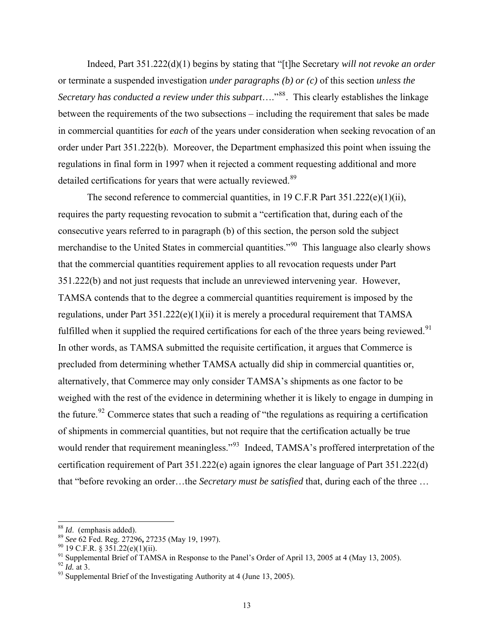Indeed, Part 351.222(d)(1) begins by stating that "[t]he Secretary *will not revoke an order* or terminate a suspended investigation *under paragraphs (b) or (c)* of this section *unless the Secretary has conducted a review under this subpart*…."<sup>[88](#page-12-0)</sup>. This clearly establishes the linkage between the requirements of the two subsections – including the requirement that sales be made in commercial quantities for *each* of the years under consideration when seeking revocation of an order under Part 351.222(b). Moreover, the Department emphasized this point when issuing the regulations in final form in 1997 when it rejected a comment requesting additional and more detailed certifications for years that were actually reviewed.<sup>[89](#page-12-1)</sup>

The second reference to commercial quantities, in 19 C.F.R Part 351.222(e)(1)(ii), requires the party requesting revocation to submit a "certification that, during each of the consecutive years referred to in paragraph (b) of this section, the person sold the subject merchandise to the United States in commercial quantities."<sup>[90](#page-12-2)</sup> This language also clearly shows that the commercial quantities requirement applies to all revocation requests under Part 351.222(b) and not just requests that include an unreviewed intervening year. However, TAMSA contends that to the degree a commercial quantities requirement is imposed by the regulations, under Part 351.222(e)(1)(ii) it is merely a procedural requirement that TAMSA fulfilled when it supplied the required certifications for each of the three years being reviewed.<sup>[91](#page-12-3)</sup> In other words, as TAMSA submitted the requisite certification, it argues that Commerce is precluded from determining whether TAMSA actually did ship in commercial quantities or, alternatively, that Commerce may only consider TAMSA's shipments as one factor to be weighed with the rest of the evidence in determining whether it is likely to engage in dumping in the future.<sup>[92](#page-12-4)</sup> Commerce states that such a reading of "the regulations as requiring a certification of shipments in commercial quantities, but not require that the certification actually be true would render that requirement meaningless."<sup>[93](#page-12-5)</sup> Indeed, TAMSA's proffered interpretation of the certification requirement of Part 351.222(e) again ignores the clear language of Part 351.222(d) that "before revoking an order…the *Secretary must be satisfied* that, during each of the three …

<span id="page-12-0"></span> $88$  *Id.* (emphasis added).

<span id="page-12-1"></span><sup>&</sup>lt;sup>89</sup> *See* 62 Fed. Reg. 27296, 27235 (May 19, 1997).<br><sup>90</sup> 19 C.F.R. § 351.22(e)(1)(ii).

<span id="page-12-2"></span>

<span id="page-12-3"></span><sup>&</sup>lt;sup>91</sup> Supplemental Brief of TAMSA in Response to the Panel's Order of April 13, 2005 at 4 (May 13, 2005).<br><sup>92</sup> *Id.* at 3.

<span id="page-12-4"></span>

<span id="page-12-5"></span><sup>&</sup>lt;sup>93</sup> Supplemental Brief of the Investigating Authority at 4 (June 13, 2005).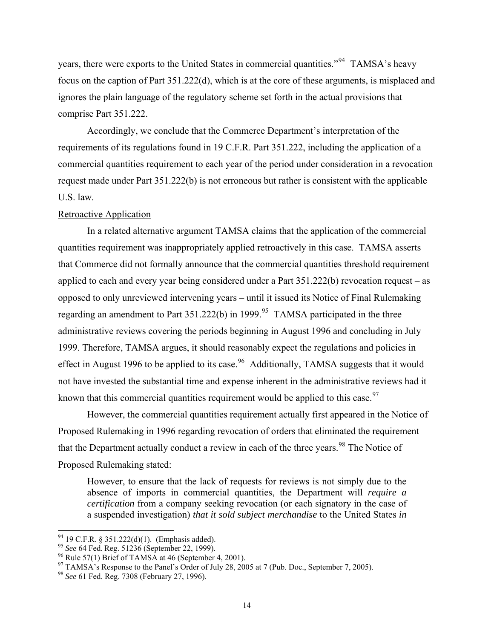years, there were exports to the United States in commercial quantities."<sup>[94](#page-13-0)</sup> TAMSA's heavy focus on the caption of Part 351.222(d), which is at the core of these arguments, is misplaced and ignores the plain language of the regulatory scheme set forth in the actual provisions that comprise Part 351.222.

Accordingly, we conclude that the Commerce Department's interpretation of the requirements of its regulations found in 19 C.F.R. Part 351.222, including the application of a commercial quantities requirement to each year of the period under consideration in a revocation request made under Part 351.222(b) is not erroneous but rather is consistent with the applicable U.S. law.

### Retroactive Application

In a related alternative argument TAMSA claims that the application of the commercial quantities requirement was inappropriately applied retroactively in this case. TAMSA asserts that Commerce did not formally announce that the commercial quantities threshold requirement applied to each and every year being considered under a Part  $351.222(b)$  revocation request – as opposed to only unreviewed intervening years – until it issued its Notice of Final Rulemaking regarding an amendment to Part  $351.222(b)$  in 1999.<sup>[95](#page-13-1)</sup> TAMSA participated in the three administrative reviews covering the periods beginning in August 1996 and concluding in July 1999. Therefore, TAMSA argues, it should reasonably expect the regulations and policies in effect in August 19[96](#page-13-2) to be applied to its case.<sup>96</sup> Additionally, TAMSA suggests that it would not have invested the substantial time and expense inherent in the administrative reviews had it known that this commercial quantities requirement would be applied to this case.<sup>[97](#page-13-3)</sup>

However, the commercial quantities requirement actually first appeared in the Notice of Proposed Rulemaking in 1996 regarding revocation of orders that eliminated the requirement that the Department actually conduct a review in each of the three years.<sup>[98](#page-13-4)</sup> The Notice of Proposed Rulemaking stated:

However, to ensure that the lack of requests for reviews is not simply due to the absence of imports in commercial quantities, the Department will *require a certification* from a company seeking revocation (or each signatory in the case of a suspended investigation) *that it sold subject merchandise* to the United States *in* 

<span id="page-13-0"></span><sup>&</sup>lt;sup>94</sup> 19 C.F.R. § 351.222(d)(1). (Emphasis added).<br><sup>95</sup> *See* 64 Fed. Reg. 51236 (September 22, 1999).

<span id="page-13-1"></span>

<span id="page-13-2"></span><sup>&</sup>lt;sup>96</sup> Rule 57(1) Brief of TAMSA at 46 (September 4, 2001).

<span id="page-13-3"></span> $97$  TAMSA's Response to the Panel's Order of July 28, 2005 at 7 (Pub. Doc., September 7, 2005).

<span id="page-13-4"></span><sup>98</sup> *See* 61 Fed. Reg. 7308 (February 27, 1996).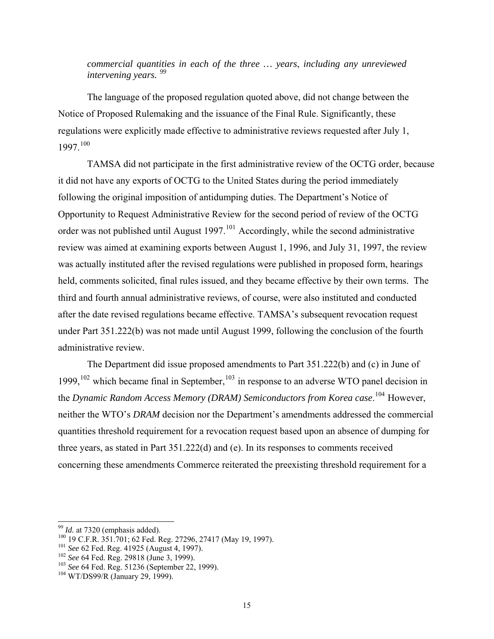*commercial quantities in each of the three … years*, *including any unreviewed intervening years. [99](#page-14-0)*

The language of the proposed regulation quoted above, did not change between the Notice of Proposed Rulemaking and the issuance of the Final Rule. Significantly, these regulations were explicitly made effective to administrative reviews requested after July 1, 1997.[100](#page-14-1)

TAMSA did not participate in the first administrative review of the OCTG order, because it did not have any exports of OCTG to the United States during the period immediately following the original imposition of antidumping duties. The Department's Notice of Opportunity to Request Administrative Review for the second period of review of the OCTG order was not published until August 1997.<sup>[101](#page-14-2)</sup> Accordingly, while the second administrative review was aimed at examining exports between August 1, 1996, and July 31, 1997, the review was actually instituted after the revised regulations were published in proposed form, hearings held, comments solicited, final rules issued, and they became effective by their own terms. The third and fourth annual administrative reviews, of course, were also instituted and conducted after the date revised regulations became effective. TAMSA's subsequent revocation request under Part 351.222(b) was not made until August 1999, following the conclusion of the fourth administrative review.

The Department did issue proposed amendments to Part 351.222(b) and (c) in June of 1999,<sup>[102](#page-14-3)</sup> which became final in September,<sup>[103](#page-14-4)</sup> in response to an adverse WTO panel decision in the *Dynamic Random Access Memory (DRAM) Semiconductors from Korea case*. [104](#page-14-5) However, neither the WTO's *DRAM* decision nor the Department's amendments addressed the commercial quantities threshold requirement for a revocation request based upon an absence of dumping for three years, as stated in Part 351.222(d) and (e). In its responses to comments received concerning these amendments Commerce reiterated the preexisting threshold requirement for a

<span id="page-14-0"></span> $99$  *Id.* at 7320 (emphasis added).

<span id="page-14-1"></span><sup>&</sup>lt;sup>100</sup> 19 C.F.R. 351.701; 62 Fed. Reg. 27296, 27417 (May 19, 1997).<br><sup>101</sup> *See* 62 Fed. Reg. 41925 (August 4, 1997).<br><sup>102</sup> *See* 64 Fed. Reg. 29818 (June 3, 1999).<br><sup>103</sup> *See* 64 Fed. Reg. 51236 (September 22, 1999).<br><sup>104</sup>

<span id="page-14-2"></span>

<span id="page-14-3"></span>

<span id="page-14-4"></span>

<span id="page-14-5"></span>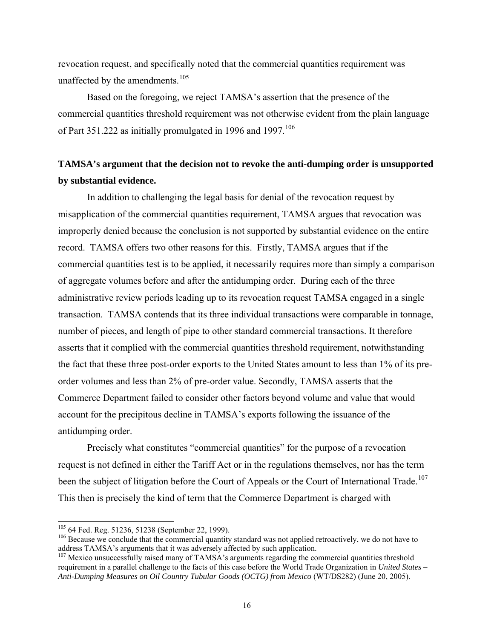revocation request, and specifically noted that the commercial quantities requirement was unaffected by the amendments.<sup>[105](#page-15-0)</sup>

Based on the foregoing, we reject TAMSA's assertion that the presence of the commercial quantities threshold requirement was not otherwise evident from the plain language of Part 351.222 as initially promulgated in 1996 and 1997.<sup>[106](#page-15-1)</sup>

# **TAMSA's argument that the decision not to revoke the anti-dumping order is unsupported by substantial evidence.**

In addition to challenging the legal basis for denial of the revocation request by misapplication of the commercial quantities requirement, TAMSA argues that revocation was improperly denied because the conclusion is not supported by substantial evidence on the entire record. TAMSA offers two other reasons for this. Firstly, TAMSA argues that if the commercial quantities test is to be applied, it necessarily requires more than simply a comparison of aggregate volumes before and after the antidumping order. During each of the three administrative review periods leading up to its revocation request TAMSA engaged in a single transaction. TAMSA contends that its three individual transactions were comparable in tonnage, number of pieces, and length of pipe to other standard commercial transactions. It therefore asserts that it complied with the commercial quantities threshold requirement, notwithstanding the fact that these three post-order exports to the United States amount to less than 1% of its preorder volumes and less than 2% of pre-order value. Secondly, TAMSA asserts that the Commerce Department failed to consider other factors beyond volume and value that would account for the precipitous decline in TAMSA's exports following the issuance of the antidumping order.

Precisely what constitutes "commercial quantities" for the purpose of a revocation request is not defined in either the Tariff Act or in the regulations themselves, nor has the term been the subject of litigation before the Court of Appeals or the Court of International Trade.<sup>[107](#page-15-2)</sup> This then is precisely the kind of term that the Commerce Department is charged with

<span id="page-15-0"></span><sup>&</sup>lt;sup>105</sup> 64 Fed. Reg. 51236, 51238 (September 22, 1999).

<span id="page-15-1"></span><sup>&</sup>lt;sup>106</sup> Because we conclude that the commercial quantity standard was not applied retroactively, we do not have to address TAMSA's arguments that it was adversely affected by such application.

<span id="page-15-2"></span><sup>&</sup>lt;sup>107</sup> Mexico unsuccessfully raised many of TAMSA's arguments regarding the commercial quantities threshold requirement in a parallel challenge to the facts of this case before the World Trade Organization in *United States – Anti-Dumping Measures on Oil Country Tubular Goods (OCTG) from Mexico* (WT/DS282) (June 20, 2005).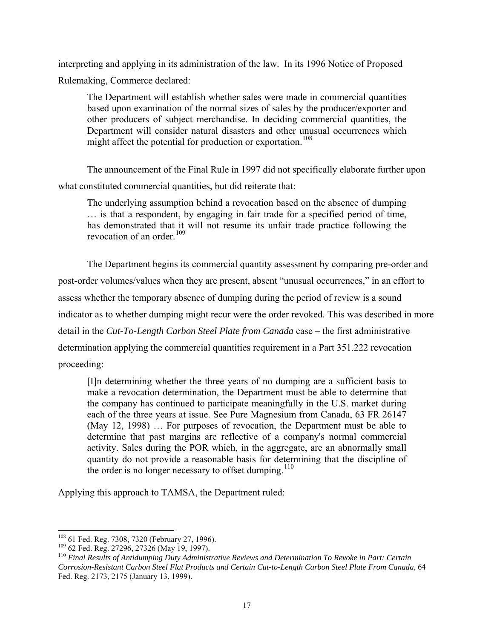interpreting and applying in its administration of the law. In its 1996 Notice of Proposed Rulemaking, Commerce declared:

The Department will establish whether sales were made in commercial quantities based upon examination of the normal sizes of sales by the producer/exporter and other producers of subject merchandise. In deciding commercial quantities, the Department will consider natural disasters and other unusual occurrences which might affect the potential for production or exportation.<sup>[108](#page-16-0)</sup>

The announcement of the Final Rule in 1997 did not specifically elaborate further upon what constituted commercial quantities, but did reiterate that:

The underlying assumption behind a revocation based on the absence of dumping … is that a respondent, by engaging in fair trade for a specified period of time, has demonstrated that it will not resume its unfair trade practice following the revocation of an order.<sup>[109](#page-16-1)</sup>

The Department begins its commercial quantity assessment by comparing pre-order and post-order volumes/values when they are present, absent "unusual occurrences," in an effort to assess whether the temporary absence of dumping during the period of review is a sound indicator as to whether dumping might recur were the order revoked. This was described in more detail in the *Cut-To-Length Carbon Steel Plate from Canada* case – the first administrative determination applying the commercial quantities requirement in a Part 351.222 revocation proceeding:

[I]n determining whether the three years of no dumping are a sufficient basis to make a revocation determination, the Department must be able to determine that the company has continued to participate meaningfully in the U.S. market during each of the three years at issue. See Pure Magnesium from Canada, 63 FR 26147 (May 12, 1998) … For purposes of revocation, the Department must be able to determine that past margins are reflective of a company's normal commercial activity. Sales during the POR which, in the aggregate, are an abnormally small quantity do not provide a reasonable basis for determining that the discipline of the order is no longer necessary to offset dumping.<sup>[110](#page-16-2)</sup>

Applying this approach to TAMSA, the Department ruled:

<span id="page-16-0"></span><sup>&</sup>lt;sup>108</sup> 61 Fed. Reg. 7308, 7320 (February 27, 1996).

<span id="page-16-2"></span>

<span id="page-16-1"></span><sup>&</sup>lt;sup>109</sup> 62 Fed. Reg. 27296, 27326 (May 19, 1997). <sup>109</sup> february 27, 109 feed. Reg. 27296, 27326 (May 19, 1997). <sup>110</sup> *Final Results of Antidumping Duty Administrative Reviews and Determination To Revoke in Part: Certain <i>a Corrosion-Resistant Carbon Steel Flat Products and Certain Cut-to-Length Carbon Steel Plate From Canada*, 64 Fed. Reg. 2173, 2175 (January 13, 1999).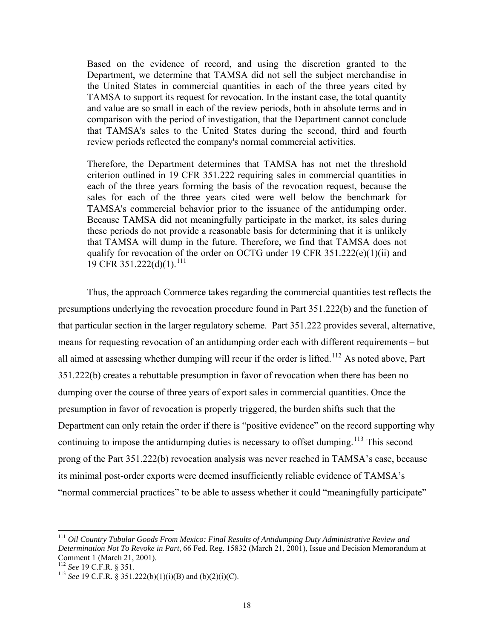Based on the evidence of record, and using the discretion granted to the Department, we determine that TAMSA did not sell the subject merchandise in the United States in commercial quantities in each of the three years cited by TAMSA to support its request for revocation. In the instant case, the total quantity and value are so small in each of the review periods, both in absolute terms and in comparison with the period of investigation, that the Department cannot conclude that TAMSA's sales to the United States during the second, third and fourth review periods reflected the company's normal commercial activities.

Therefore, the Department determines that TAMSA has not met the threshold criterion outlined in 19 CFR 351.222 requiring sales in commercial quantities in each of the three years forming the basis of the revocation request, because the sales for each of the three years cited were well below the benchmark for TAMSA's commercial behavior prior to the issuance of the antidumping order. Because TAMSA did not meaningfully participate in the market, its sales during these periods do not provide a reasonable basis for determining that it is unlikely that TAMSA will dump in the future. Therefore, we find that TAMSA does not qualify for revocation of the order on OCTG under 19 CFR 351.222(e)(1)(ii) and 19 CFR 351.222(d)(1).<sup>[111](#page-17-0)</sup>

Thus, the approach Commerce takes regarding the commercial quantities test reflects the presumptions underlying the revocation procedure found in Part 351.222(b) and the function of that particular section in the larger regulatory scheme. Part 351.222 provides several, alternative, means for requesting revocation of an antidumping order each with different requirements – but all aimed at assessing whether dumping will recur if the order is lifted.<sup>[112](#page-17-1)</sup> As noted above, Part 351.222(b) creates a rebuttable presumption in favor of revocation when there has been no dumping over the course of three years of export sales in commercial quantities. Once the presumption in favor of revocation is properly triggered, the burden shifts such that the Department can only retain the order if there is "positive evidence" on the record supporting why continuing to impose the antidumping duties is necessary to offset dumping.<sup>[113](#page-17-2)</sup> This second prong of the Part 351.222(b) revocation analysis was never reached in TAMSA's case, because its minimal post-order exports were deemed insufficiently reliable evidence of TAMSA's "normal commercial practices" to be able to assess whether it could "meaningfully participate"

<span id="page-17-0"></span><sup>111</sup> *Oil Country Tubular Goods From Mexico: Final Results of Antidumping Duty Administrative Review and Determination Not To Revoke in Part*, 66 Fed. Reg. 15832 (March 21, 2001), Issue and Decision Memorandum at Comment 1 (March 21, 2001).<br><sup>112</sup> See 19 C.F.R. § 351.

<span id="page-17-1"></span>

<span id="page-17-2"></span><sup>113</sup> *See* 19 C.F.R. § 351.222(b)(1)(i)(B) and (b)(2)(i)(C).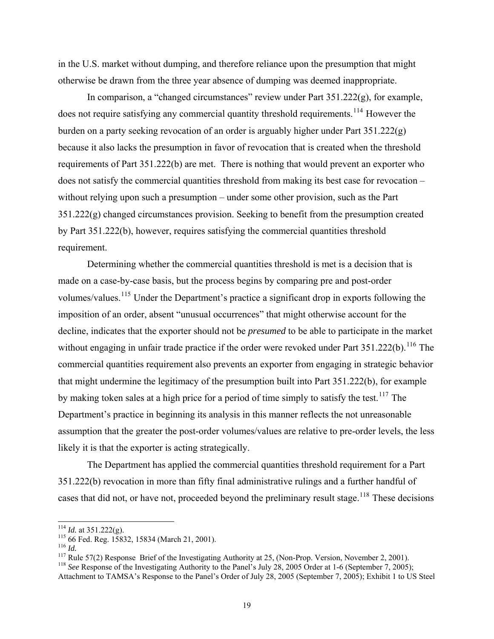in the U.S. market without dumping, and therefore reliance upon the presumption that might otherwise be drawn from the three year absence of dumping was deemed inappropriate.

In comparison, a "changed circumstances" review under Part 351.222(g), for example, does not require satisfying any commercial quantity threshold requirements.<sup>[114](#page-18-0)</sup> However the burden on a party seeking revocation of an order is arguably higher under Part 351.222(g) because it also lacks the presumption in favor of revocation that is created when the threshold requirements of Part 351.222(b) are met. There is nothing that would prevent an exporter who does not satisfy the commercial quantities threshold from making its best case for revocation – without relying upon such a presumption – under some other provision, such as the Part 351.222(g) changed circumstances provision. Seeking to benefit from the presumption created by Part 351.222(b), however, requires satisfying the commercial quantities threshold requirement.

Determining whether the commercial quantities threshold is met is a decision that is made on a case-by-case basis, but the process begins by comparing pre and post-order volumes/values.[115](#page-18-1) Under the Department's practice a significant drop in exports following the imposition of an order, absent "unusual occurrences" that might otherwise account for the decline, indicates that the exporter should not be *presumed* to be able to participate in the market without engaging in unfair trade practice if the order were revoked under Part  $351.222(b)$ .<sup>[116](#page-18-2)</sup> The commercial quantities requirement also prevents an exporter from engaging in strategic behavior that might undermine the legitimacy of the presumption built into Part 351.222(b), for example by making token sales at a high price for a period of time simply to satisfy the test.<sup>[117](#page-18-3)</sup> The Department's practice in beginning its analysis in this manner reflects the not unreasonable assumption that the greater the post-order volumes/values are relative to pre-order levels, the less likely it is that the exporter is acting strategically.

The Department has applied the commercial quantities threshold requirement for a Part 351.222(b) revocation in more than fifty final administrative rulings and a further handful of cases that did not, or have not, proceeded beyond the preliminary result stage.<sup>[118](#page-18-4)</sup> These decisions

<span id="page-18-0"></span> $^{114}$  *Id.* at 351.222(g).

<span id="page-18-2"></span><span id="page-18-1"></span><sup>&</sup>lt;sup>115</sup> 66 Fed. Reg. 15832, 15834 (March 21, 2001).<br><sup>116</sup> *Id.*<br><sup>117</sup> Rule 57(2) Response Brief of the Investigating Authority at 25, (Non-Prop. Version, November 2, 2001).<br><sup>118</sup> *See* Response of the Investigating Authorit

<span id="page-18-4"></span><span id="page-18-3"></span>Attachment to TAMSA's Response to the Panel's Order of July 28, 2005 (September 7, 2005); Exhibit 1 to US Steel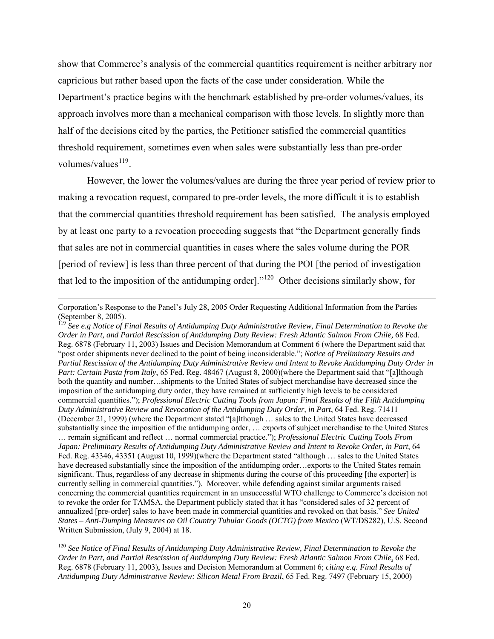show that Commerce's analysis of the commercial quantities requirement is neither arbitrary nor capricious but rather based upon the facts of the case under consideration. While the Department's practice begins with the benchmark established by pre-order volumes/values, its approach involves more than a mechanical comparison with those levels. In slightly more than half of the decisions cited by the parties, the Petitioner satisfied the commercial quantities threshold requirement, sometimes even when sales were substantially less than pre-order volumes/values $^{119}$  $^{119}$  $^{119}$ .

However, the lower the volumes/values are during the three year period of review prior to making a revocation request, compared to pre-order levels, the more difficult it is to establish that the commercial quantities threshold requirement has been satisfied. The analysis employed by at least one party to a revocation proceeding suggests that "the Department generally finds that sales are not in commercial quantities in cases where the sales volume during the POR [period of review] is less than three percent of that during the POI [the period of investigation that led to the imposition of the antidumping order]."<sup>[120](#page-19-1)</sup> Other decisions similarly show, for

Corporation's Response to the Panel's July 28, 2005 Order Requesting Additional Information from the Parties (September 8, 2005).

<span id="page-19-0"></span><sup>119</sup> *See e.g Notice of Final Results of Antidumping Duty Administrative Review, Final Determination to Revoke the Order in Part, and Partial Rescission of Antidumping Duty Review: Fresh Atlantic Salmon From Chile,* 68 Fed. Reg. 6878 (February 11, 2003) Issues and Decision Memorandum at Comment 6 (where the Department said that "post order shipments never declined to the point of being inconsiderable."; *Notice of Preliminary Results and Partial Rescission of the Antidumping Duty Administrative Review and Intent to Revoke Antidumping Duty Order in Part: Certain Pasta from Italy*, 65 Fed. Reg. 48467 (August 8, 2000)(where the Department said that "[a]lthough both the quantity and number…shipments to the United States of subject merchandise have decreased since the imposition of the antidumping duty order, they have remained at sufficiently high levels to be considered commercial quantities."); *Professional Electric Cutting Tools from Japan: Final Results of the Fifth Antidumping Duty Administrative Review and Revocation of the Antidumping Duty Order, in Part*, 64 Fed. Reg. 71411 (December 21, 1999) (where the Department stated "[a]lthough … sales to the United States have decreased substantially since the imposition of the antidumping order, … exports of subject merchandise to the United States … remain significant and reflect … normal commercial practice."); *Professional Electric Cutting Tools From Japan: Preliminary Results of Antidumping Duty Administrative Review and Intent to Revoke Order, in Part*, 64 Fed. Reg. 43346, 43351 (August 10, 1999)(where the Department stated "although … sales to the United States have decreased substantially since the imposition of the antidumping order…exports to the United States remain

significant. Thus, regardless of any decrease in shipments during the course of this proceeding [the exporter] is currently selling in commercial quantities."). Moreover, while defending against similar arguments raised concerning the commercial quantities requirement in an unsuccessful WTO challenge to Commerce's decision not to revoke the order for TAMSA, the Department publicly stated that it has "considered sales of 32 percent of annualized [pre-order] sales to have been made in commercial quantities and revoked on that basis." *See United States – Anti-Dumping Measures on Oil Country Tubular Goods (OCTG) from Mexico* (WT/DS282), U.S. Second Written Submission, (July 9, 2004) at 18.

<span id="page-19-1"></span><sup>120</sup> *See Notice of Final Results of Antidumping Duty Administrative Review, Final Determination to Revoke the Order in Part, and Partial Rescission of Antidumping Duty Review: Fresh Atlantic Salmon From Chile*, 68 Fed. Reg. 6878 (February 11, 2003), Issues and Decision Memorandum at Comment 6; *citing e.g. Final Results of Antidumping Duty Administrative Review: Silicon Metal From Brazil*, 65 Fed. Reg. 7497 (February 15, 2000)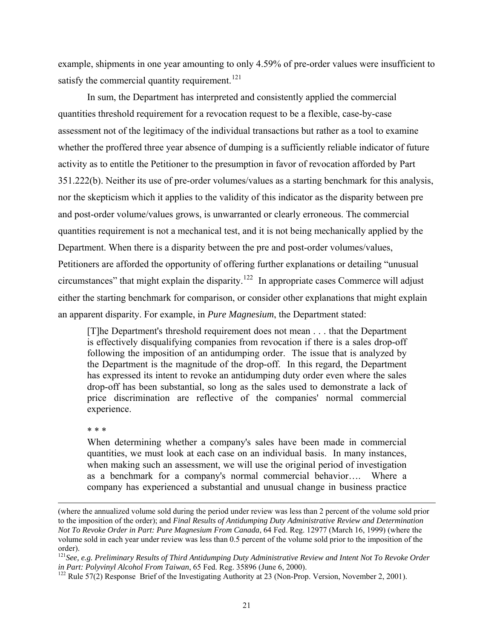example, shipments in one year amounting to only 4.59% of pre-order values were insufficient to satisfy the commercial quantity requirement.<sup>[121](#page-20-0)</sup>

 In sum, the Department has interpreted and consistently applied the commercial quantities threshold requirement for a revocation request to be a flexible, case-by-case assessment not of the legitimacy of the individual transactions but rather as a tool to examine whether the proffered three year absence of dumping is a sufficiently reliable indicator of future activity as to entitle the Petitioner to the presumption in favor of revocation afforded by Part 351.222(b). Neither its use of pre-order volumes/values as a starting benchmark for this analysis, nor the skepticism which it applies to the validity of this indicator as the disparity between pre and post-order volume/values grows, is unwarranted or clearly erroneous. The commercial quantities requirement is not a mechanical test, and it is not being mechanically applied by the Department. When there is a disparity between the pre and post-order volumes/values, Petitioners are afforded the opportunity of offering further explanations or detailing "unusual circumstances" that might explain the disparity.<sup>[122](#page-20-1)</sup> In appropriate cases Commerce will adjust either the starting benchmark for comparison, or consider other explanations that might explain an apparent disparity. For example, in *Pure Magnesium*, the Department stated:

[T]he Department's threshold requirement does not mean . . . that the Department is effectively disqualifying companies from revocation if there is a sales drop-off following the imposition of an antidumping order. The issue that is analyzed by the Department is the magnitude of the drop-off. In this regard, the Department has expressed its intent to revoke an antidumping duty order even where the sales drop-off has been substantial, so long as the sales used to demonstrate a lack of price discrimination are reflective of the companies' normal commercial experience.

#### \* \* \*

 $\overline{a}$ 

When determining whether a company's sales have been made in commercial quantities, we must look at each case on an individual basis. In many instances, when making such an assessment, we will use the original period of investigation as a benchmark for a company's normal commercial behavior…. Where a company has experienced a substantial and unusual change in business practice

<sup>(</sup>where the annualized volume sold during the period under review was less than 2 percent of the volume sold prior to the imposition of the order); and *Final Results of Antidumping Duty Administrative Review and Determination Not To Revoke Order in Part: Pure Magnesium From Canada*, 64 Fed. Reg. 12977 (March 16, 1999) (where the volume sold in each year under review was less than 0.5 percent of the volume sold prior to the imposition of the order).

<span id="page-20-0"></span><sup>&</sup>lt;sup>121</sup> See, e.g. Preliminary Results of Third Antidumping Duty Administrative Review and Intent Not To Revoke Order in Part: Polyvinyl Alcohol From Taiwan, 65 Fed. Reg. 35896 (June 6, 2000).

<span id="page-20-1"></span><sup>&</sup>lt;sup>122</sup> Rule 57(2) Response Brief of the Investigating Authority at 23 (Non-Prop. Version, November 2, 2001).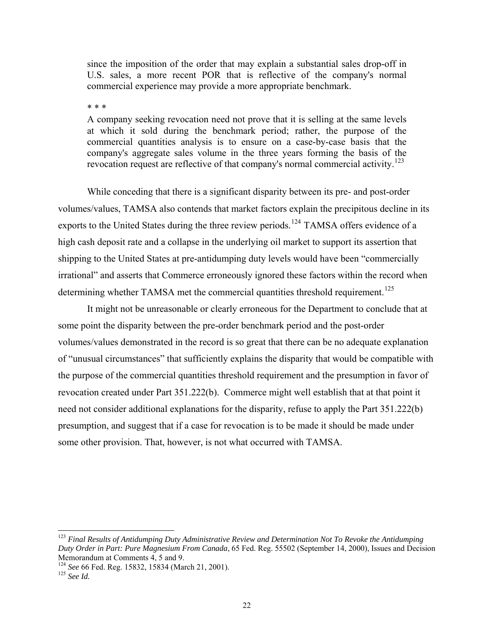since the imposition of the order that may explain a substantial sales drop-off in U.S. sales, a more recent POR that is reflective of the company's normal commercial experience may provide a more appropriate benchmark.

\* \* \*

A company seeking revocation need not prove that it is selling at the same levels at which it sold during the benchmark period; rather, the purpose of the commercial quantities analysis is to ensure on a case-by-case basis that the company's aggregate sales volume in the three years forming the basis of the revocation request are reflective of that company's normal commercial activity.<sup>[123](#page-21-0)</sup>

While conceding that there is a significant disparity between its pre- and post-order volumes/values, TAMSA also contends that market factors explain the precipitous decline in its exports to the United States during the three review periods.<sup>[124](#page-21-1)</sup> TAMSA offers evidence of a high cash deposit rate and a collapse in the underlying oil market to support its assertion that shipping to the United States at pre-antidumping duty levels would have been "commercially irrational" and asserts that Commerce erroneously ignored these factors within the record when determining whether TAMSA met the commercial quantities threshold requirement.<sup>[125](#page-21-2)</sup>

It might not be unreasonable or clearly erroneous for the Department to conclude that at some point the disparity between the pre-order benchmark period and the post-order volumes/values demonstrated in the record is so great that there can be no adequate explanation of "unusual circumstances" that sufficiently explains the disparity that would be compatible with the purpose of the commercial quantities threshold requirement and the presumption in favor of revocation created under Part 351.222(b). Commerce might well establish that at that point it need not consider additional explanations for the disparity, refuse to apply the Part 351.222(b) presumption, and suggest that if a case for revocation is to be made it should be made under some other provision. That, however, is not what occurred with TAMSA.

<span id="page-21-0"></span><sup>123</sup> *Final Results of Antidumping Duty Administrative Review and Determination Not To Revoke the Antidumping Duty Order in Part: Pure Magnesium From Canada*, 65 Fed. Reg. 55502 (September 14, 2000), Issues and Decision Memorandum at Comments 4, 5 and 9.

<span id="page-21-2"></span><span id="page-21-1"></span><sup>124</sup> *See* 66 Fed. Reg. 15832, 15834 (March 21, 2001). 125 *See Id.*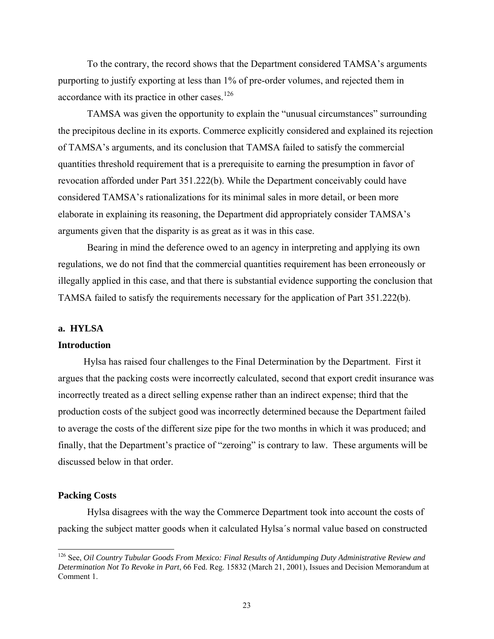To the contrary, the record shows that the Department considered TAMSA's arguments purporting to justify exporting at less than 1% of pre-order volumes, and rejected them in accordance with its practice in other cases. $126$ 

 TAMSA was given the opportunity to explain the "unusual circumstances" surrounding the precipitous decline in its exports. Commerce explicitly considered and explained its rejection of TAMSA's arguments, and its conclusion that TAMSA failed to satisfy the commercial quantities threshold requirement that is a prerequisite to earning the presumption in favor of revocation afforded under Part 351.222(b). While the Department conceivably could have considered TAMSA's rationalizations for its minimal sales in more detail, or been more elaborate in explaining its reasoning, the Department did appropriately consider TAMSA's arguments given that the disparity is as great as it was in this case.

Bearing in mind the deference owed to an agency in interpreting and applying its own regulations, we do not find that the commercial quantities requirement has been erroneously or illegally applied in this case, and that there is substantial evidence supporting the conclusion that TAMSA failed to satisfy the requirements necessary for the application of Part 351.222(b).

#### **a. HYLSA**

#### **Introduction**

Hylsa has raised four challenges to the Final Determination by the Department. First it argues that the packing costs were incorrectly calculated, second that export credit insurance was incorrectly treated as a direct selling expense rather than an indirect expense; third that the production costs of the subject good was incorrectly determined because the Department failed to average the costs of the different size pipe for the two months in which it was produced; and finally, that the Department's practice of "zeroing" is contrary to law. These arguments will be discussed below in that order.

#### **Packing Costs**

l

Hylsa disagrees with the way the Commerce Department took into account the costs of packing the subject matter goods when it calculated Hylsa´s normal value based on constructed

<span id="page-22-0"></span><sup>126</sup> See, *Oil Country Tubular Goods From Mexico: Final Results of Antidumping Duty Administrative Review and Determination Not To Revoke in Part*, 66 Fed. Reg. 15832 (March 21, 2001), Issues and Decision Memorandum at Comment 1.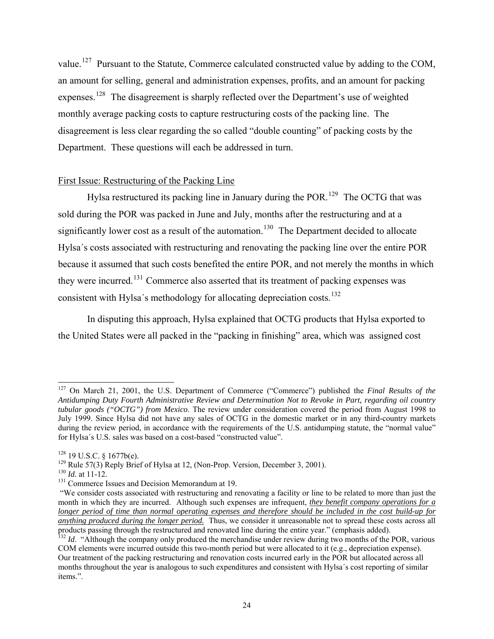value.<sup>[127](#page-23-0)</sup> Pursuant to the Statute, Commerce calculated constructed value by adding to the COM, an amount for selling, general and administration expenses, profits, and an amount for packing expenses.<sup>[128](#page-23-1)</sup> The disagreement is sharply reflected over the Department's use of weighted monthly average packing costs to capture restructuring costs of the packing line. The disagreement is less clear regarding the so called "double counting" of packing costs by the Department. These questions will each be addressed in turn.

## First Issue: Restructuring of the Packing Line

Hylsa restructured its packing line in January during the POR.<sup>[129](#page-23-2)</sup> The OCTG that was sold during the POR was packed in June and July, months after the restructuring and at a significantly lower cost as a result of the automation.<sup>[130](#page-23-3)</sup> The Department decided to allocate Hylsa´s costs associated with restructuring and renovating the packing line over the entire POR because it assumed that such costs benefited the entire POR, and not merely the months in which they were incurred.<sup>[131](#page-23-4)</sup> Commerce also asserted that its treatment of packing expenses was consistent with Hylsa´s methodology for allocating depreciation costs.[132](#page-23-5)

In disputing this approach, Hylsa explained that OCTG products that Hylsa exported to the United States were all packed in the "packing in finishing" area, which was assigned cost

<span id="page-23-0"></span> $\overline{a}$ 127 On March 21, 2001, the U.S. Department of Commerce ("Commerce") published the *Final Results of the Antidumping Duty Fourth Administrative Review and Determination Not to Revoke in Part, regarding oil country tubular goods ("OCTG") from Mexico*. The review under consideration covered the period from August 1998 to July 1999. Since Hylsa did not have any sales of OCTG in the domestic market or in any third-country markets during the review period, in accordance with the requirements of the U.S. antidumping statute, the "normal value" for Hylsa´s U.S. sales was based on a cost-based "constructed value".

<span id="page-23-2"></span><span id="page-23-1"></span><sup>&</sup>lt;sup>128</sup> 19 U.S.C. § 1677b(e).<br><sup>129</sup> Rule 57(3) Reply Brief of Hylsa at 12, (Non-Prop. Version, December 3, 2001).<br><sup>130</sup> *Id.* at 11-12.<br><sup>131</sup> Commerce Issues and Decision Memorandum at 19.

<span id="page-23-3"></span>

<span id="page-23-4"></span> <sup>&</sup>quot;We consider costs associated with restructuring and renovating a facility or line to be related to more than just the month in which they are incurred. Although such expenses are infrequent, *they benefit company operations for a longer period of time than normal operating expenses and therefore should be included in the cost build-up for anything produced during the longer period.* Thus, we consider it unreasonable not to spread these costs across all products passing through the restructured and renovated line during the entire year." (emphasis added).

<span id="page-23-5"></span><sup>&</sup>lt;sup>132</sup> *Id.* "Although the company only produced the merchandise under review during two months of the POR, various COM elements were incurred outside this two-month period but were allocated to it (e.g., depreciation expense). Our treatment of the packing restructuring and renovation costs incurred early in the POR but allocated across all months throughout the year is analogous to such expenditures and consistent with Hylsa´s cost reporting of similar items.".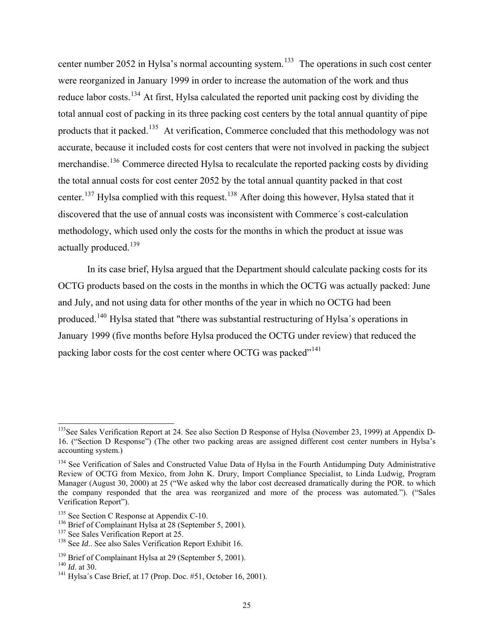center number 2052 in Hylsa's normal accounting system.<sup>[133](#page-24-0)</sup> The operations in such cost center were reorganized in January 1999 in order to increase the automation of the work and thus reduce labor costs.<sup>[134](#page-24-1)</sup> At first, Hylsa calculated the reported unit packing cost by dividing the total annual cost of packing in its three packing cost centers by the total annual quantity of pipe products that it packed.[135](#page-24-2) At verification, Commerce concluded that this methodology was not accurate, because it included costs for cost centers that were not involved in packing the subject merchandise.<sup>[136](#page-24-3)</sup> Commerce directed Hylsa to recalculate the reported packing costs by dividing the total annual costs for cost center 2052 by the total annual quantity packed in that cost center.<sup>[137](#page-24-4)</sup> Hylsa complied with this request.<sup>[138](#page-24-5)</sup> After doing this however, Hylsa stated that it discovered that the use of annual costs was inconsistent with Commerce´s cost-calculation methodology, which used only the costs for the months in which the product at issue was actually produced.<sup>[139](#page-24-6)</sup>

In its case brief, Hylsa argued that the Department should calculate packing costs for its OCTG products based on the costs in the months in which the OCTG was actually packed: June and July, and not using data for other months of the year in which no OCTG had been produced.[140](#page-24-7) Hylsa stated that "there was substantial restructuring of Hylsa´s operations in January 1999 (five months before Hylsa produced the OCTG under review) that reduced the packing labor costs for the cost center where OCTG was packed"<sup>[141](#page-24-8)</sup>

<span id="page-24-0"></span><sup>&</sup>lt;sup>133</sup>See Sales Verification Report at 24. See also Section D Response of Hylsa (November 23, 1999) at Appendix D-16. ("Section D Response") (The other two packing areas are assigned different cost center numbers in Hylsa's accounting system.)

<span id="page-24-1"></span><sup>&</sup>lt;sup>134</sup> See Verification of Sales and Constructed Value Data of Hylsa in the Fourth Antidumping Duty Administrative Review of OCTG from Mexico, from John K. Drury, Import Compliance Specialist, to Linda Ludwig, Program Manager (August 30, 2000) at 25 ("We asked why the labor cost decreased dramatically during the POR. to which the company responded that the area was reorganized and more of the process was automated."). ("Sales Verification Report").

<span id="page-24-3"></span><span id="page-24-2"></span><sup>&</sup>lt;sup>135</sup> See Section C Response at Appendix C-10.<br><sup>136</sup> Brief of Complainant Hylsa at 28 (September 5, 2001).<br><sup>137</sup> See Sales Verification Report at 25.<br><sup>138</sup> See *Id*.. See also Sales Verification Report Exhibit 16.

<span id="page-24-4"></span>

<span id="page-24-5"></span>

<span id="page-24-6"></span><sup>&</sup>lt;sup>139</sup> Brief of Complainant Hylsa at 29 (September 5, 2001).<br><sup>140</sup> *Id*. at 30. <sup>141</sup> Hylsa's Case Brief, at 17 (Prop. Doc. #51, October 16, 2001).

<span id="page-24-7"></span>

<span id="page-24-8"></span>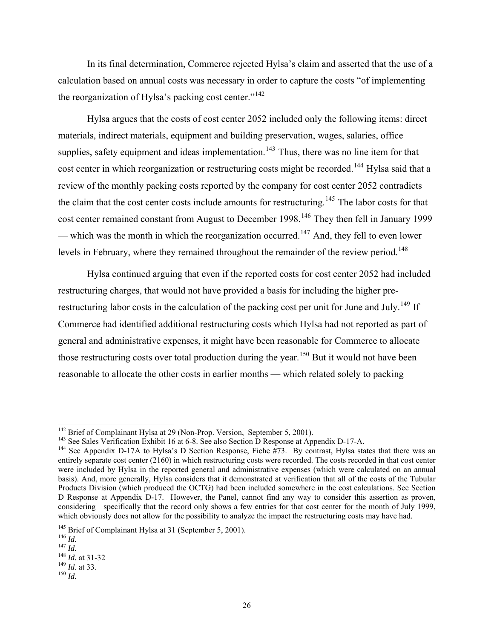In its final determination, Commerce rejected Hylsa's claim and asserted that the use of a calculation based on annual costs was necessary in order to capture the costs "of implementing the reorganization of Hylsa's packing cost center."<sup>[142](#page-25-0)</sup>

Hylsa argues that the costs of cost center 2052 included only the following items: direct materials, indirect materials, equipment and building preservation, wages, salaries, office supplies, safety equipment and ideas implementation.<sup>[143](#page-25-1)</sup> Thus, there was no line item for that cost center in which reorganization or restructuring costs might be recorded.<sup>[144](#page-25-2)</sup> Hylsa said that a review of the monthly packing costs reported by the company for cost center 2052 contradicts the claim that the cost center costs include amounts for restructuring.<sup>[145](#page-25-3)</sup> The labor costs for that cost center remained constant from August to December 1998.<sup>[146](#page-25-4)</sup> They then fell in January 1999 — which was the month in which the reorganization occurred.<sup>[147](#page-25-5)</sup> And, they fell to even lower levels in February, where they remained throughout the remainder of the review period.<sup>[148](#page-25-6)</sup>

Hylsa continued arguing that even if the reported costs for cost center 2052 had included restructuring charges, that would not have provided a basis for including the higher prerestructuring labor costs in the calculation of the packing cost per unit for June and July.<sup>149</sup> If Commerce had identified additional restructuring costs which Hylsa had not reported as part of general and administrative expenses, it might have been reasonable for Commerce to allocate those restructuring costs over total production during the year.<sup>[150](#page-25-8)</sup> But it would not have been reasonable to allocate the other costs in earlier months — which related solely to packing

<span id="page-25-8"></span><span id="page-25-7"></span>

<span id="page-25-2"></span>

<span id="page-25-1"></span><span id="page-25-0"></span><sup>&</sup>lt;sup>142</sup> Brief of Complainant Hylsa at 29 (Non-Prop. Version, September 5, 2001).<br><sup>143</sup> See Sales Verification Exhibit 16 at 6-8. See also Section D Response at Appendix D-17-A.<br><sup>144</sup> See Appendix D-17A to Hylsa's D Section entirely separate cost center (2160) in which restructuring costs were recorded. The costs recorded in that cost center were included by Hylsa in the reported general and administrative expenses (which were calculated on an annual basis). And, more generally, Hylsa considers that it demonstrated at verification that all of the costs of the Tubular Products Division (which produced the OCTG) had been included somewhere in the cost calculations. See Section D Response at Appendix D-17. However, the Panel, cannot find any way to consider this assertion as proven, considering specifically that the record only shows a few entries for that cost center for the month of July 1999, which obviously does not allow for the possibility to analyze the impact the restructuring costs may have had.

<span id="page-25-4"></span><span id="page-25-3"></span><sup>&</sup>lt;sup>145</sup> Brief of Complainant Hylsa at 31 (September 5, 2001).<br><sup>146</sup> *Id.*<br><sup>147</sup> *Id.*<br><sup>148</sup> *Id.* at 31-32<br><sup>149</sup> *Id.* at 33. <sup>150</sup> *Id.* 

<span id="page-25-5"></span>

<span id="page-25-6"></span>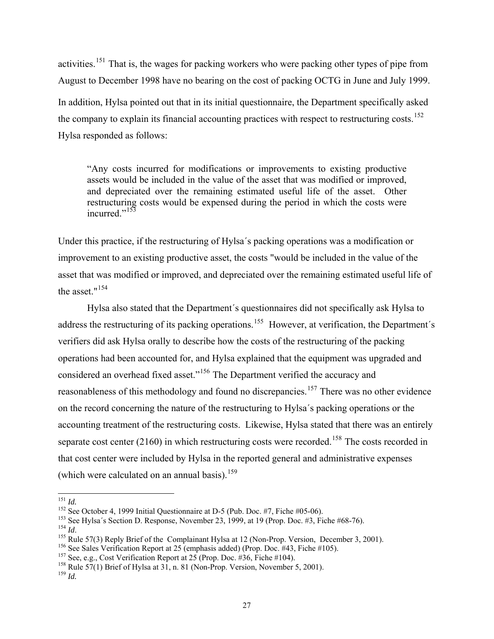activities.<sup>[151](#page-26-0)</sup> That is, the wages for packing workers who were packing other types of pipe from August to December 1998 have no bearing on the cost of packing OCTG in June and July 1999. In addition, Hylsa pointed out that in its initial questionnaire, the Department specifically asked the company to explain its financial accounting practices with respect to restructuring costs.<sup>[152](#page-26-1)</sup> Hylsa responded as follows:

"Any costs incurred for modifications or improvements to existing productive assets would be included in the value of the asset that was modified or improved, and depreciated over the remaining estimated useful life of the asset. Other restructuring costs would be expensed during the period in which the costs were incurred."<sup>[153](#page-26-2)</sup>

Under this practice, if the restructuring of Hylsa´s packing operations was a modification or improvement to an existing productive asset, the costs "would be included in the value of the asset that was modified or improved, and depreciated over the remaining estimated useful life of the asset."[154](#page-26-3)

Hylsa also stated that the Department´s questionnaires did not specifically ask Hylsa to address the restructuring of its packing operations.<sup>[155](#page-26-4)</sup> However, at verification, the Department's verifiers did ask Hylsa orally to describe how the costs of the restructuring of the packing operations had been accounted for, and Hylsa explained that the equipment was upgraded and considered an overhead fixed asset."[156](#page-26-5) The Department verified the accuracy and reasonableness of this methodology and found no discrepancies.<sup>[157](#page-26-6)</sup> There was no other evidence on the record concerning the nature of the restructuring to Hylsa´s packing operations or the accounting treatment of the restructuring costs. Likewise, Hylsa stated that there was an entirely separate cost center (2160) in which restructuring costs were recorded.<sup>[158](#page-26-7)</sup> The costs recorded in that cost center were included by Hylsa in the reported general and administrative expenses (which were calculated on an annual basis).<sup>[159](#page-26-8)</sup>

<span id="page-26-8"></span>

<span id="page-26-0"></span> $^{151}$  *Id.* 

<span id="page-26-4"></span><span id="page-26-3"></span>

<span id="page-26-2"></span><span id="page-26-1"></span><sup>&</sup>lt;sup>152</sup> See October 4, 1999 Initial Questionnaire at D-5 (Pub. Doc. #7, Fiche #05-06).<br><sup>153</sup> See Hylsa's Section D. Response, November 23, 1999, at 19 (Prop. Doc. #3, Fiche #68-76).<br><sup>154</sup> *Id.*<br><sup>155</sup> Rule 57(3) Reply Brief

<span id="page-26-5"></span>

<span id="page-26-7"></span><span id="page-26-6"></span>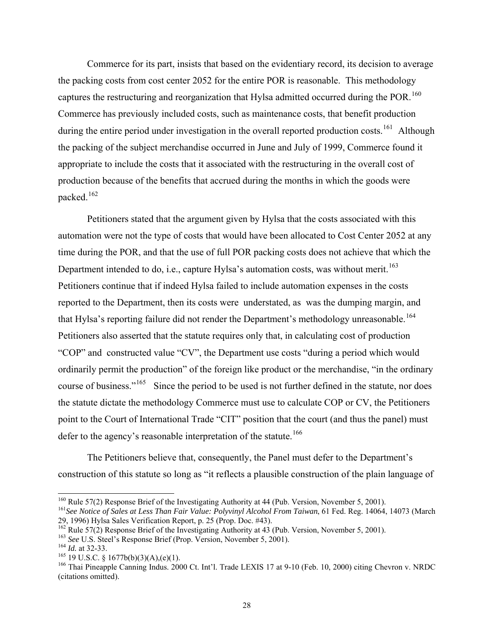Commerce for its part, insists that based on the evidentiary record, its decision to average the packing costs from cost center 2052 for the entire POR is reasonable. This methodology captures the restructuring and reorganization that Hylsa admitted occurred during the POR.<sup>[160](#page-27-0)</sup> Commerce has previously included costs, such as maintenance costs, that benefit production during the entire period under investigation in the overall reported production costs.<sup>[161](#page-27-1)</sup> Although the packing of the subject merchandise occurred in June and July of 1999, Commerce found it appropriate to include the costs that it associated with the restructuring in the overall cost of production because of the benefits that accrued during the months in which the goods were packed.[162](#page-27-2)

Petitioners stated that the argument given by Hylsa that the costs associated with this automation were not the type of costs that would have been allocated to Cost Center 2052 at any time during the POR, and that the use of full POR packing costs does not achieve that which the Department intended to do, i.e., capture Hylsa's automation costs, was without merit.<sup>[163](#page-27-3)</sup> Petitioners continue that if indeed Hylsa failed to include automation expenses in the costs reported to the Department, then its costs were understated, as was the dumping margin, and that Hylsa's reporting failure did not render the Department's methodology unreasonable.<sup>[164](#page-27-4)</sup> Petitioners also asserted that the statute requires only that, in calculating cost of production "COP" and constructed value "CV", the Department use costs "during a period which would ordinarily permit the production" of the foreign like product or the merchandise, "in the ordinary course of business."<sup>[165](#page-27-5)</sup> Since the period to be used is not further defined in the statute, nor does the statute dictate the methodology Commerce must use to calculate COP or CV, the Petitioners point to the Court of International Trade "CIT" position that the court (and thus the panel) must defer to the agency's reasonable interpretation of the statute.<sup>[166](#page-27-6)</sup>

The Petitioners believe that, consequently, the Panel must defer to the Department's construction of this statute so long as "it reflects a plausible construction of the plain language of

<span id="page-27-0"></span> $160$  Rule 57(2) Response Brief of the Investigating Authority at 44 (Pub. Version, November 5, 2001).

<span id="page-27-1"></span><sup>&</sup>lt;sup>161</sup> See Notice of Sales at Less Than Fair Value: Polyvinyl Alcohol From Taiwan, 61 Fed. Reg. 14064, 14073 (March 29, 1996) Hylsa Sales Verification Report, p. 25 (Prop. Doc. #43).

<span id="page-27-4"></span>

<span id="page-27-6"></span><span id="page-27-5"></span>

<span id="page-27-3"></span><span id="page-27-2"></span><sup>&</sup>lt;sup>162</sup> Rule 57(2) Response Brief of the Investigating Authority at 43 (Pub. Version, November 5, 2001).<br><sup>163</sup> See U.S. Steel's Response Brief (Prop. Version, November 5, 2001).<br><sup>164</sup> Id. at 32-33.<br><sup>165</sup> 19 U.S.C. § 1677b(b (citations omitted).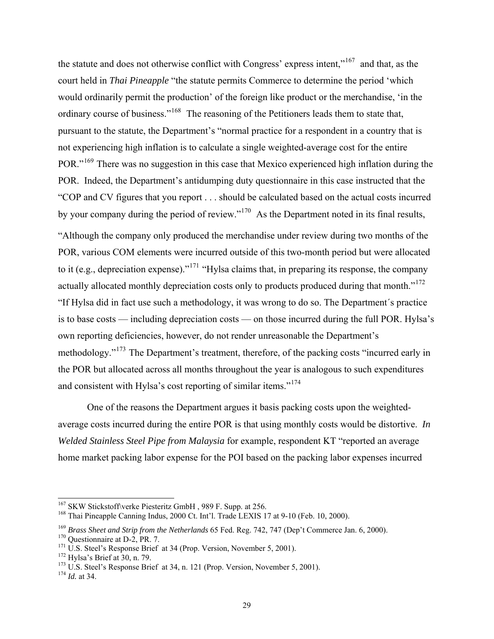the statute and does not otherwise conflict with Congress' express intent,"[167](#page-28-0)and that*,* as the court held in *Thai Pineapple* "the statute permits Commerce to determine the period 'which would ordinarily permit the production' of the foreign like product or the merchandise, 'in the ordinary course of business."<sup>[168](#page-28-1)</sup> The reasoning of the Petitioners leads them to state that, pursuant to the statute, the Department's "normal practice for a respondent in a country that is not experiencing high inflation is to calculate a single weighted-average cost for the entire POR."[169](#page-28-2) There was no suggestion in this case that Mexico experienced high inflation during the POR. Indeed, the Department's antidumping duty questionnaire in this case instructed that the "COP and CV figures that you report . . . should be calculated based on the actual costs incurred by your company during the period of review."<sup>[170](#page-28-3)</sup> As the Department noted in its final results,

"Although the company only produced the merchandise under review during two months of the POR, various COM elements were incurred outside of this two-month period but were allocated to it (e.g., depreciation expense)."<sup>[171](#page-28-4)</sup> "Hylsa claims that, in preparing its response, the company actually allocated monthly depreciation costs only to products produced during that month."<sup>[172](#page-28-5)</sup> "If Hylsa did in fact use such a methodology, it was wrong to do so. The Department´s practice is to base costs — including depreciation costs — on those incurred during the full POR. Hylsa's own reporting deficiencies, however, do not render unreasonable the Department's methodology."<sup>[173](#page-28-6)</sup> The Department's treatment, therefore, of the packing costs "incurred early in the POR but allocated across all months throughout the year is analogous to such expenditures and consistent with Hylsa's cost reporting of similar items."<sup>[174](#page-28-7)</sup>

One of the reasons the Department argues it basis packing costs upon the weightedaverage costs incurred during the entire POR is that using monthly costs would be distortive. *In Welded Stainless Steel Pipe from Malaysia* for example, respondent KT "reported an average home market packing labor expense for the POI based on the packing labor expenses incurred

<span id="page-28-1"></span><span id="page-28-0"></span><sup>&</sup>lt;sup>167</sup> SKW Stickstoff\verke Piesteritz GmbH, 989 F. Supp. at 256.<br><sup>168</sup> Thai Pineapple Canning Indus, 2000 Ct. Int'l. Trade LEXIS 17 at 9-10 (Feb. 10, 2000).

<span id="page-28-3"></span><span id="page-28-2"></span><sup>&</sup>lt;sup>169</sup> Brass Sheet and Strip from the Netherlands 65 Fed. Reg. 742, 747 (Dep't Commerce Jan. 6, 2000).<br><sup>170</sup> Questionnaire at D-2, PR. 7.<br><sup>171</sup> U.S. Steel's Response Brief at 34 (Prop. Version, November 5, 2001).<br><sup>172</sup> Hyl

<span id="page-28-4"></span>

<span id="page-28-5"></span>

<span id="page-28-7"></span><span id="page-28-6"></span>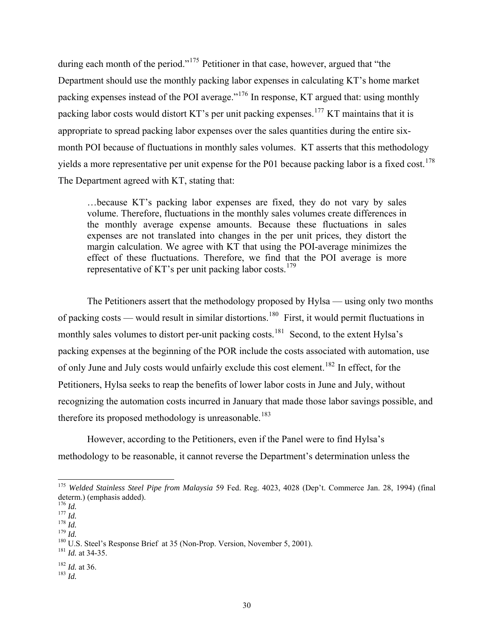during each month of the period."<sup>[175](#page-29-0)</sup> Petitioner in that case, however, argued that "the Department should use the monthly packing labor expenses in calculating KT's home market packing expenses instead of the POI average."[176](#page-29-1) In response, KT argued that: using monthly packing labor costs would distort KT's per unit packing expenses.<sup>[177](#page-29-2)</sup> KT maintains that it is appropriate to spread packing labor expenses over the sales quantities during the entire sixmonth POI because of fluctuations in monthly sales volumes. KT asserts that this methodology yields a more representative per unit expense for the P01 because packing labor is a fixed cost.<sup>[178](#page-29-3)</sup> The Department agreed with KT, stating that:

…because KT's packing labor expenses are fixed, they do not vary by sales volume. Therefore, fluctuations in the monthly sales volumes create differences in the monthly average expense amounts. Because these fluctuations in sales expenses are not translated into changes in the per unit prices, they distort the margin calculation. We agree with KT that using the POI-average minimizes the effect of these fluctuations. Therefore, we find that the POI average is more representative of KT's per unit packing labor costs.<sup>[179](#page-29-4)</sup>

 The Petitioners assert that the methodology proposed by Hylsa — using only two months of packing costs — would result in similar distortions.<sup>[180](#page-29-5)</sup> First, it would permit fluctuations in monthly sales volumes to distort per-unit packing costs.<sup>[181](#page-29-6)</sup> Second, to the extent Hylsa's packing expenses at the beginning of the POR include the costs associated with automation, use of only June and July costs would unfairly exclude this cost element.<sup>[182](#page-29-7)</sup> In effect, for the Petitioners, Hylsa seeks to reap the benefits of lower labor costs in June and July, without recognizing the automation costs incurred in January that made those labor savings possible, and therefore its proposed methodology is unreasonable.<sup>[183](#page-29-8)</sup>

However, according to the Petitioners, even if the Panel were to find Hylsa's methodology to be reasonable, it cannot reverse the Department's determination unless the

<span id="page-29-0"></span><sup>175</sup> *Welded Stainless Steel Pipe from Malaysia* 59 Fed. Reg. 4023, 4028 (Dep't. Commerce Jan. 28, 1994) (final determ.) (emphasis added).<br> $176$  *Id.* 

<span id="page-29-5"></span><span id="page-29-4"></span>

<span id="page-29-3"></span><span id="page-29-2"></span><span id="page-29-1"></span><sup>177</sup> *Id.*<br><sup>178</sup> *Id.* <sup>178</sup> *Id.* <sup>179</sup> *Id.* <sup>179</sup> *Id.* <sup>179</sup> *Id.* at 34-35. Steel's Response Brief at 35 (Non-Prop. Version, November 5, 2001). <sup>181</sup> *Id.* at 34-35.

<span id="page-29-7"></span><span id="page-29-6"></span><sup>182</sup> *Id.* at 36. <sup>183</sup> *Id.*

<span id="page-29-8"></span>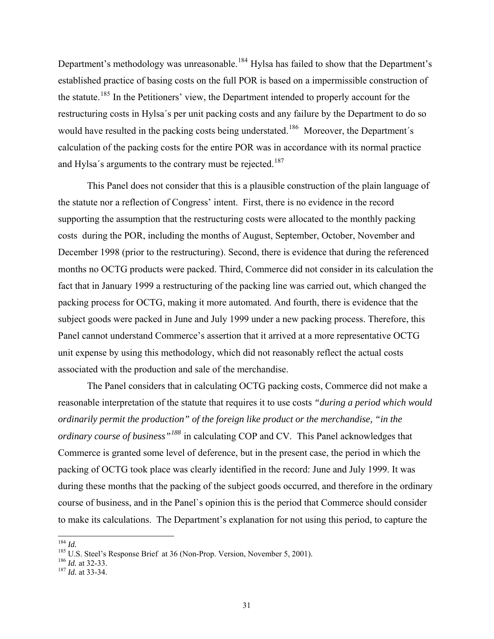Department's methodology was unreasonable.<sup>[184](#page-30-0)</sup> Hylsa has failed to show that the Department's established practice of basing costs on the full POR is based on a impermissible construction of the statute.<sup>[185](#page-30-1)</sup> In the Petitioners' view, the Department intended to properly account for the restructuring costs in Hylsa´s per unit packing costs and any failure by the Department to do so would have resulted in the packing costs being understated.<sup>[186](#page-30-2)</sup> Moreover, the Department's calculation of the packing costs for the entire POR was in accordance with its normal practice and Hylsa's arguments to the contrary must be rejected.<sup>[187](#page-30-3)</sup>

This Panel does not consider that this is a plausible construction of the plain language of the statute nor a reflection of Congress' intent. First, there is no evidence in the record supporting the assumption that the restructuring costs were allocated to the monthly packing costs during the POR, including the months of August, September, October, November and December 1998 (prior to the restructuring). Second, there is evidence that during the referenced months no OCTG products were packed. Third, Commerce did not consider in its calculation the fact that in January 1999 a restructuring of the packing line was carried out, which changed the packing process for OCTG, making it more automated. And fourth, there is evidence that the subject goods were packed in June and July 1999 under a new packing process. Therefore, this Panel cannot understand Commerce's assertion that it arrived at a more representative OCTG unit expense by using this methodology, which did not reasonably reflect the actual costs associated with the production and sale of the merchandise.

<span id="page-30-4"></span>The Panel considers that in calculating OCTG packing costs, Commerce did not make a reasonable interpretation of the statute that requires it to use costs *"during a period which would ordinarily permit the production" of the foreign like product or the merchandise, "in the ordinary course of business"[188](#page-30-4)* in calculating COP and CV.This Panel acknowledges that Commerce is granted some level of deference, but in the present case, the period in which the packing of OCTG took place was clearly identified in the record: June and July 1999. It was during these months that the packing of the subject goods occurred, and therefore in the ordinary course of business, and in the Panel`s opinion this is the period that Commerce should consider to make its calculations. The Department's explanation for not using this period, to capture the

<span id="page-30-0"></span> $184 \, H_{\odot}$ 

<span id="page-30-2"></span><span id="page-30-1"></span><sup>&</sup>lt;sup>185</sup> U.S. Steel's Response Brief at 36 (Non-Prop. Version, November 5, 2001).<br><sup>186</sup> *Id.* at 32-33.<br><sup>187</sup> *Id.* at 33-34.

<span id="page-30-3"></span>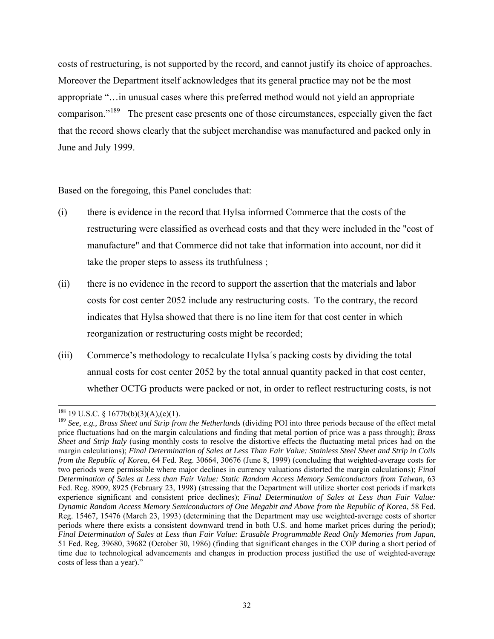costs of restructuring, is not supported by the record, and cannot justify its choice of approaches. Moreover the Department itself acknowledges that its general practice may not be the most appropriate "…in unusual cases where this preferred method would not yield an appropriate comparison."<sup>[189](#page-31-0)</sup> The present case presents one of those circumstances, especially given the fact that the record shows clearly that the subject merchandise was manufactured and packed only in June and July 1999.

Based on the foregoing, this Panel concludes that:

- (i) there is evidence in the record that Hylsa informed Commerce that the costs of the restructuring were classified as overhead costs and that they were included in the "cost of manufacture" and that Commerce did not take that information into account, nor did it take the proper steps to assess its truthfulness ;
- (ii) there is no evidence in the record to support the assertion that the materials and labor costs for cost center 2052 include any restructuring costs. To the contrary, the record indicates that Hylsa showed that there is no line item for that cost center in which reorganization or restructuring costs might be recorded;
- (iii) Commerce's methodology to recalculate Hylsa´s packing costs by dividing the total annual costs for cost center 2052 by the total annual quantity packed in that cost center, whether OCTG products were packed or not, in order to reflect restructuring costs, is not

<sup>&</sup>lt;sup>188</sup> 19 U.S.C. § 1677b(b)(3)(A),(e)(1).

<span id="page-31-0"></span><sup>&</sup>lt;sup>189</sup> See, e.g., Brass Sheet and Strip from the Netherlands (dividing POI into three periods because of the effect metal price fluctuations had on the margin calculations and finding that metal portion of price was a pass through); *Brass Sheet and Strip Italy* (using monthly costs to resolve the distortive effects the fluctuating metal prices had on the margin calculations); *Final Determination of Sales at Less Than Fair Value: Stainless Steel Sheet and Strip in Coils from the Republic of Korea*, 64 Fed. Reg. 30664, 30676 (June 8, 1999) (concluding that weighted-average costs for two periods were permissible where major declines in currency valuations distorted the margin calculations); *Final Determination of Sales at Less than Fair Value: Static Random Access Memory Semiconductors from Taiwan*, 63 Fed. Reg. 8909, 8925 (February 23, 1998) (stressing that the Department will utilize shorter cost periods if markets experience significant and consistent price declines); *Final Determination of Sales at Less than Fair Value: Dynamic Random Access Memory Semiconductors of One Megabit and Above from the Republic of Korea*, 58 Fed. Reg. 15467, 15476 (March 23, 1993) (determining that the Department may use weighted-average costs of shorter periods where there exists a consistent downward trend in both U.S. and home market prices during the period); *Final Determination of Sales at Less than Fair Value: Erasable Programmable Read Only Memories from Japan*, 51 Fed. Reg. 39680, 39682 (October 30, 1986) (finding that significant changes in the COP during a short period of time due to technological advancements and changes in production process justified the use of weighted-average costs of less than a year)."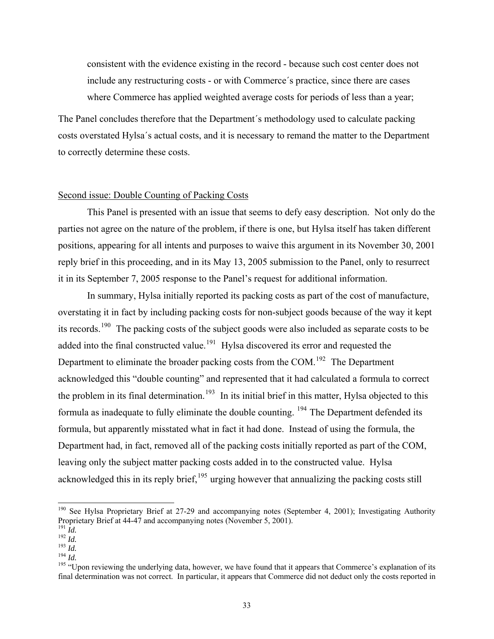consistent with the evidence existing in the record - because such cost center does not include any restructuring costs - or with Commerce´s practice, since there are cases where Commerce has applied weighted average costs for periods of less than a year;

The Panel concludes therefore that the Department´s methodology used to calculate packing costs overstated Hylsa´s actual costs, and it is necessary to remand the matter to the Department to correctly determine these costs.

## Second issue: Double Counting of Packing Costs

This Panel is presented with an issue that seems to defy easy description. Not only do the parties not agree on the nature of the problem, if there is one, but Hylsa itself has taken different positions, appearing for all intents and purposes to waive this argument in its November 30, 2001 reply brief in this proceeding, and in its May 13, 2005 submission to the Panel, only to resurrect it in its September 7, 2005 response to the Panel's request for additional information.

In summary, Hylsa initially reported its packing costs as part of the cost of manufacture, overstating it in fact by including packing costs for non-subject goods because of the way it kept its records.[190](#page-32-0) The packing costs of the subject goods were also included as separate costs to be added into the final constructed value.<sup>[191](#page-32-1)</sup> Hylsa discovered its error and requested the Department to eliminate the broader packing costs from the COM.<sup>[192](#page-32-2)</sup> The Department acknowledged this "double counting" and represented that it had calculated a formula to correct the problem in its final determination.<sup>[193](#page-32-3)</sup> In its initial brief in this matter, Hylsa objected to this formula as inadequate to fully eliminate the double counting. [194](#page-32-4) The Department defended its formula, but apparently misstated what in fact it had done. Instead of using the formula, the Department had, in fact, removed all of the packing costs initially reported as part of the COM, leaving only the subject matter packing costs added in to the constructed value. Hylsa acknowledged this in its reply brief,<sup>[195](#page-32-5)</sup> urging however that annualizing the packing costs still

<span id="page-32-0"></span><sup>&</sup>lt;sup>190</sup> See Hylsa Proprietary Brief at 27-29 and accompanying notes (September 4, 2001); Investigating Authority Proprietary Brief at 44-47 and accompanying notes (November 5, 2001).<br>
<sup>191</sup> *Id.*<br>
<sup>192</sup> *Id.*<br>
<sup>194</sup> *Id.*<br>
<sup>194</sup> *Id.*<br>
<sup>194</sup> *Id.*<br>
<sup>194</sup> *Id.*<br>
<sup>194</sup> *Id.*<br>
<sup>194</sup> *Id.*<br>
<sup>194</sup> *Id.*<br>
<sup>194</sup> <sup>198</sup> "Upon reviewing the u

<span id="page-32-1"></span>

<span id="page-32-2"></span>

<span id="page-32-4"></span><span id="page-32-3"></span>

<span id="page-32-5"></span>final determination was not correct. In particular, it appears that Commerce did not deduct only the costs reported in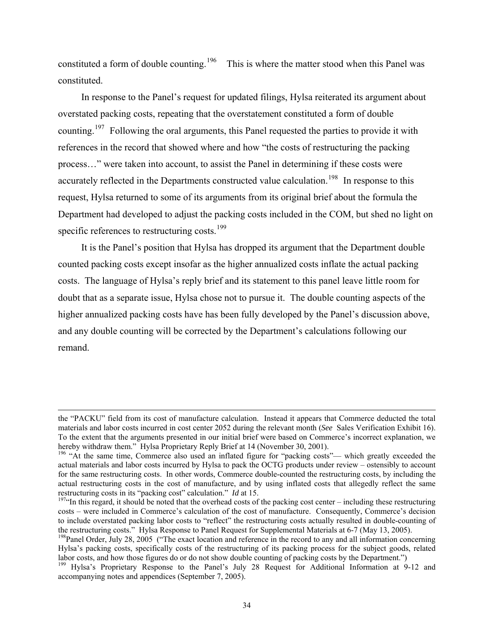constituted a form of double counting.<sup>196</sup> This is where the matter stood when this Panel was constituted.

In response to the Panel's request for updated filings, Hylsa reiterated its argument about overstated packing costs, repeating that the overstatement constituted a form of double counting.[197](#page-33-1) Following the oral arguments, this Panel requested the parties to provide it with references in the record that showed where and how "the costs of restructuring the packing process…" were taken into account, to assist the Panel in determining if these costs were accurately reflected in the Departments constructed value calculation.<sup>[198](#page-33-2)</sup> In response to this request, Hylsa returned to some of its arguments from its original brief about the formula the Department had developed to adjust the packing costs included in the COM, but shed no light on specific references to restructuring costs.<sup>[199](#page-33-3)</sup>

It is the Panel's position that Hylsa has dropped its argument that the Department double counted packing costs except insofar as the higher annualized costs inflate the actual packing costs. The language of Hylsa's reply brief and its statement to this panel leave little room for doubt that as a separate issue, Hylsa chose not to pursue it. The double counting aspects of the higher annualized packing costs have has been fully developed by the Panel's discussion above, and any double counting will be corrected by the Department's calculations following our remand.

the "PACKU" field from its cost of manufacture calculation. Instead it appears that Commerce deducted the total materials and labor costs incurred in cost center 2052 during the relevant month (*See* Sales Verification Exhibit 16). To the extent that the arguments presented in our initial brief were based on Commerce's incorrect explanation, we hereby withdraw them." Hylsa Proprietary Reply Brief at 14 (November 30, 2001).

<span id="page-33-0"></span><sup>&</sup>lt;sup>196</sup> "At the same time, Commerce also used an inflated figure for "packing costs"— which greatly exceeded the actual materials and labor costs incurred by Hylsa to pack the OCTG products under review – ostensibly to account for the same restructuring costs. In other words, Commerce double-counted the restructuring costs, by including the actual restructuring costs in the cost of manufacture, and by using inflated costs that allegedly reflect the same restructuring costs in its "packing cost" calculation."  $Id$  at 15.

<span id="page-33-1"></span><sup>&</sup>lt;sup>197</sup>"In this regard, it should be noted that the overhead costs of the packing cost center – including these restructuring costs – were included in Commerce's calculation of the cost of manufacture. Consequently, Commerce's decision to include overstated packing labor costs to "reflect" the restructuring costs actually resulted in double-counting of the restructuring costs." Hylsa Response to Panel Request for Supplemental Materials at 6-7 (May 13, 2005). <sup>198</sup>Panel Order, July 28, 2005 ("The exact location and reference in the record to any and all information concer

<span id="page-33-2"></span>Hylsa's packing costs, specifically costs of the restructuring of its packing process for the subject goods, related labor costs, and how those figures do or do not show double counting of packing costs by the Department.")

<span id="page-33-3"></span><sup>&</sup>lt;sup>199</sup> Hylsa's Proprietary Response to the Panel's July 28 Request for Additional Information at 9-12 and accompanying notes and appendices (September 7, 2005).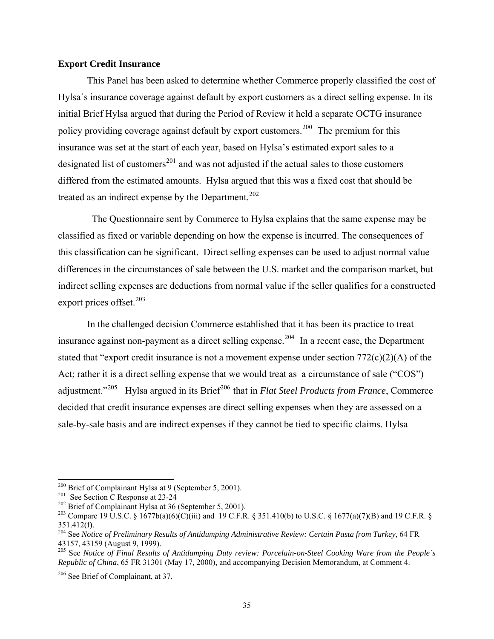#### **Export Credit Insurance**

This Panel has been asked to determine whether Commerce properly classified the cost of Hylsa´s insurance coverage against default by export customers as a direct selling expense. In its initial Brief Hylsa argued that during the Period of Review it held a separate OCTG insurance policy providing coverage against default by export customers.<sup>[200](#page-34-0)</sup> The premium for this insurance was set at the start of each year, based on Hylsa's estimated export sales to a designated list of customers<sup>[201](#page-34-1)</sup> and was not adjusted if the actual sales to those customers differed from the estimated amounts. Hylsa argued that this was a fixed cost that should be treated as an indirect expense by the Department.<sup>[202](#page-34-2)</sup>

 The Questionnaire sent by Commerce to Hylsa explains that the same expense may be classified as fixed or variable depending on how the expense is incurred. The consequences of this classification can be significant. Direct selling expenses can be used to adjust normal value differences in the circumstances of sale between the U.S. market and the comparison market, but indirect selling expenses are deductions from normal value if the seller qualifies for a constructed export prices offset. $203$ 

In the challenged decision Commerce established that it has been its practice to treat insurance against non-payment as a direct selling expense.<sup>[204](#page-34-4)</sup> In a recent case, the Department stated that "export credit insurance is not a movement expense under section 772(c)(2)(A) of the Act; rather it is a direct selling expense that we would treat as a circumstance of sale ("COS") adjustment."<sup>[205](#page-34-5)</sup> Hylsa argued in its Brief<sup>206</sup> that in *Flat Steel Products from France*, Commerce decided that credit insurance expenses are direct selling expenses when they are assessed on a sale-by-sale basis and are indirect expenses if they cannot be tied to specific claims. Hylsa

<span id="page-34-1"></span>

<span id="page-34-3"></span><span id="page-34-2"></span>

<span id="page-34-0"></span><sup>&</sup>lt;sup>200</sup> Brief of Complainant Hylsa at 9 (September 5, 2001).<br><sup>201</sup> See Section C Response at 23-24<br><sup>202</sup> Brief of Complainant Hylsa at 36 (September 5, 2001).<br><sup>203</sup> Compare 19 U.S.C. § 1677b(a)(6)(C)(iii) and 19 C.F.R. § 35 351.412(f).

<span id="page-34-4"></span><sup>204</sup> See *Notice of Preliminary Results of Antidumping Administrative Review: Certain Pasta from Turkey*, 64 FR 43157, 43159 (August 9, 1999).

<span id="page-34-5"></span><sup>205</sup> See *Notice of Final Results of Antidumping Duty review: Porcelain-on-Steel Cooking Ware from the People´s Republic of China*, 65 FR 31301 (May 17, 2000), and accompanying Decision Memorandum, at Comment 4.

<span id="page-34-6"></span><sup>206</sup> See Brief of Complainant, at 37.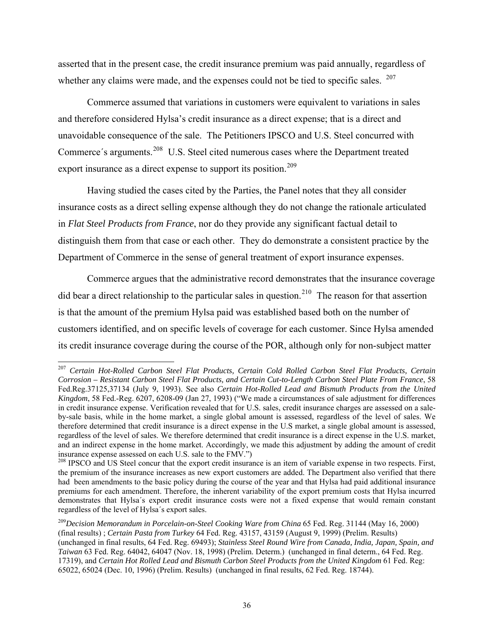asserted that in the present case, the credit insurance premium was paid annually, regardless of whether any claims were made, and the expenses could not be tied to specific sales.  $207$ 

Commerce assumed that variations in customers were equivalent to variations in sales and therefore considered Hylsa's credit insurance as a direct expense; that is a direct and unavoidable consequence of the sale. The Petitioners IPSCO and U.S. Steel concurred with Commerce´s arguments.[208](#page-35-1) U.S. Steel cited numerous cases where the Department treated export insurance as a direct expense to support its position.<sup>[209](#page-35-2)</sup>

Having studied the cases cited by the Parties, the Panel notes that they all consider insurance costs as a direct selling expense although they do not change the rationale articulated in *Flat Steel Products from France*, nor do they provide any significant factual detail to distinguish them from that case or each other. They do demonstrate a consistent practice by the Department of Commerce in the sense of general treatment of export insurance expenses.

Commerce argues that the administrative record demonstrates that the insurance coverage did bear a direct relationship to the particular sales in question.<sup>[210](#page-35-3)</sup> The reason for that assertion is that the amount of the premium Hylsa paid was established based both on the number of customers identified, and on specific levels of coverage for each customer. Since Hylsa amended its credit insurance coverage during the course of the POR, although only for non-subject matter

<span id="page-35-0"></span><sup>207</sup> *Certain Hot-Rolled Carbon Steel Flat Products, Certain Cold Rolled Carbon Steel Flat Products, Certain Corrosion – Resistant Carbon Steel Flat Products, and Certain Cut-to-Length Carbon Steel Plate From France*, 58 Fed.Reg.37125,37134 (July 9, 1993). See also *Certain Hot-Rolled Lead and Bismuth Products from the United Kingdom*, 58 Fed.-Reg. 6207, 6208-09 (Jan 27, 1993) ("We made a circumstances of sale adjustment for differences in credit insurance expense. Verification revealed that for U.S. sales, credit insurance charges are assessed on a saleby-sale basis, while in the home market, a single global amount is assessed, regardless of the level of sales. We therefore determined that credit insurance is a direct expense in the U.S market, a single global amount is assessed, regardless of the level of sales. We therefore determined that credit insurance is a direct expense in the U.S. market, and an indirect expense in the home market. Accordingly, we made this adjustment by adding the amount of credit insurance expense assessed on each U.S. sale to the FMV.")

<span id="page-35-3"></span><span id="page-35-1"></span><sup>&</sup>lt;sup>208</sup> IPSCO and US Steel concur that the export credit insurance is an item of variable expense in two respects. First, the premium of the insurance increases as new export customers are added. The Department also verified that there had been amendments to the basic policy during the course of the year and that Hylsa had paid additional insurance premiums for each amendment. Therefore, the inherent variability of the export premium costs that Hylsa incurred demonstrates that Hylsa´s export credit insurance costs were not a fixed expense that would remain constant regardless of the level of Hylsa´s export sales.

<span id="page-35-2"></span><sup>209</sup>*Decision Memorandum in Porcelain-on-Steel Cooking Ware from China* 65 Fed. Reg. 31144 (May 16, 2000) (final results) ; *Certain Pasta from Turkey* 64 Fed. Reg. 43157, 43159 (August 9, 1999) (Prelim. Results) (unchanged in final results, 64 Fed. Reg. 69493); *Stainless Steel Round Wire from Canada, India, Japan, Spain, and Taiwan* 63 Fed. Reg. 64042, 64047 (Nov. 18, 1998) (Prelim. Determ.) (unchanged in final determ., 64 Fed. Reg. 17319), and *Certain Hot Rolled Lead and Bismuth Carbon Steel Products from the United Kingdom* 61 Fed. Reg: 65022, 65024 (Dec. 10, 1996) (Prelim. Results) (unchanged in final results, 62 Fed. Reg. 18744).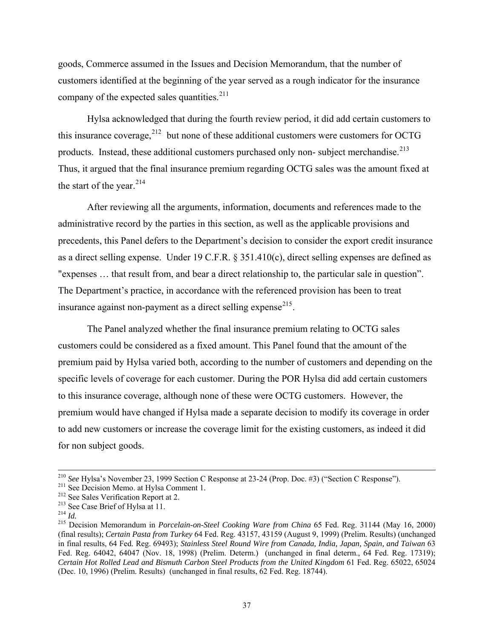goods, Commerce assumed in the Issues and Decision Memorandum, that the number of customers identified at the beginning of the year served as a rough indicator for the insurance company of the expected sales quantities.<sup>[211](#page-36-0)</sup>

Hylsa acknowledged that during the fourth review period, it did add certain customers to this insurance coverage,  $2^{12}$  but none of these additional customers were customers for OCTG products. Instead, these additional customers purchased only non- subject merchandise.<sup>[213](#page-36-2)</sup> Thus, it argued that the final insurance premium regarding OCTG sales was the amount fixed at the start of the year. $2^{14}$ 

After reviewing all the arguments, information, documents and references made to the administrative record by the parties in this section, as well as the applicable provisions and precedents, this Panel defers to the Department's decision to consider the export credit insurance as a direct selling expense. Under 19 C.F.R. § 351.410(c), direct selling expenses are defined as "expenses … that result from, and bear a direct relationship to, the particular sale in question". The Department's practice, in accordance with the referenced provision has been to treat insurance against non-payment as a direct selling expense<sup>[215](#page-36-4)</sup>.

The Panel analyzed whether the final insurance premium relating to OCTG sales customers could be considered as a fixed amount. This Panel found that the amount of the premium paid by Hylsa varied both, according to the number of customers and depending on the specific levels of coverage for each customer. During the POR Hylsa did add certain customers to this insurance coverage, although none of these were OCTG customers. However, the premium would have changed if Hylsa made a separate decision to modify its coverage in order to add new customers or increase the coverage limit for the existing customers, as indeed it did for non subject goods.

<span id="page-36-1"></span>

<span id="page-36-2"></span>

<span id="page-36-4"></span><span id="page-36-3"></span>

<span id="page-36-0"></span><sup>&</sup>lt;sup>210</sup> See Hylsa's November 23, 1999 Section C Response at 23-24 (Prop. Doc. #3) ("Section C Response").<br><sup>211</sup> See Decision Memo. at Hylsa Comment 1.<br><sup>212</sup> See Sales Verification Report at 2.<br><sup>213</sup> See Case Brief of Hylsa (final results); *Certain Pasta from Turkey* 64 Fed. Reg. 43157, 43159 (August 9, 1999) (Prelim. Results) (unchanged in final results, 64 Fed. Reg. 69493); *Stainless Steel Round Wire from Canada, India, Japan, Spain, and Taiwan* 63 Fed. Reg. 64042, 64047 (Nov. 18, 1998) (Prelim. Determ.) (unchanged in final determ., 64 Fed. Reg. 17319); *Certain Hot Rolled Lead and Bismuth Carbon Steel Products from the United Kingdom* 61 Fed. Reg. 65022, 65024 (Dec. 10, 1996) (Prelim. Results) (unchanged in final results, 62 Fed. Reg. 18744).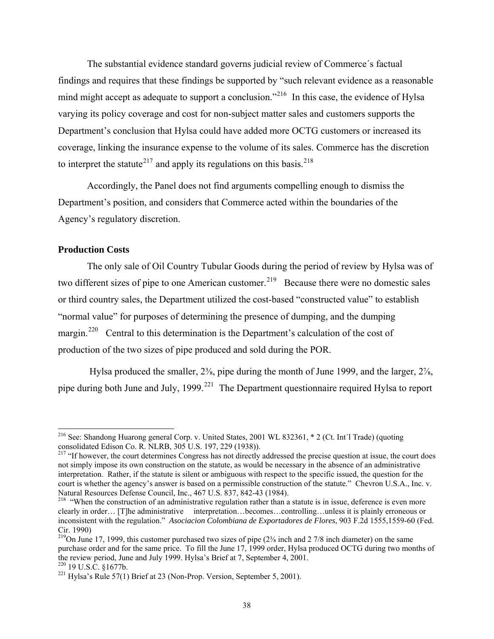The substantial evidence standard governs judicial review of Commerce´s factual findings and requires that these findings be supported by "such relevant evidence as a reasonable mind might accept as adequate to support a conclusion.<sup>"[216](#page-37-0)</sup> In this case, the evidence of Hylsa varying its policy coverage and cost for non-subject matter sales and customers supports the Department's conclusion that Hylsa could have added more OCTG customers or increased its coverage, linking the insurance expense to the volume of its sales. Commerce has the discretion to interpret the statute<sup>[217](#page-37-1)</sup> and apply its regulations on this basis.<sup>[218](#page-37-2)</sup>

Accordingly, the Panel does not find arguments compelling enough to dismiss the Department's position, and considers that Commerce acted within the boundaries of the Agency's regulatory discretion.

#### **Production Costs**

 $\overline{a}$ 

The only sale of Oil Country Tubular Goods during the period of review by Hylsa was of two different sizes of pipe to one American customer.<sup>[219](#page-37-3)</sup> Because there were no domestic sales or third country sales, the Department utilized the cost-based "constructed value" to establish "normal value" for purposes of determining the presence of dumping, and the dumping margin.<sup>[220](#page-37-4)</sup> Central to this determination is the Department's calculation of the cost of production of the two sizes of pipe produced and sold during the POR.

Hylsa produced the smaller,  $2\frac{3}{8}$ , pipe during the month of June 1999, and the larger,  $2\frac{7}{8}$ , pipe during both June and July,  $1999$ <sup>[221](#page-37-5)</sup> The Department questionnaire required Hylsa to report

<span id="page-37-0"></span><sup>&</sup>lt;sup>216</sup> See: Shandong Huarong general Corp. v. United States, 2001 WL 832361, \* 2 (Ct. Int'l Trade) (quoting consolidated Edison Co. R. NLRB, 305 U.S. 197, 229 (1938)).

<span id="page-37-1"></span><sup>&</sup>lt;sup>217</sup> "If however, the court determines Congress has not directly addressed the precise question at issue, the court does not simply impose its own construction on the statute, as would be necessary in the absence of an administrative interpretation. Rather, if the statute is silent or ambiguous with respect to the specific issued, the question for the court is whether the agency's answer is based on a permissible construction of the statute." Chevron U.S.A., Inc. v. Natural Resources Defense Council, Inc., 467 U.S. 837, 842-43 (1984).

<span id="page-37-2"></span><sup>&</sup>lt;sup>218</sup> "When the construction of an administrative regulation rather than a statute is in issue, deference is even more clearly in order… [T]he administrative interpretation…becomes…controlling…unless it is plainly erroneous or inconsistent with the regulation." *Asociacion Colombiana de Exportadores de Flores*, 903 F.2d 1555,1559-60 (Fed. Cir. 1990)

<span id="page-37-3"></span><sup>&</sup>lt;sup>219</sup>On June 17, 1999, this customer purchased two sizes of pipe (2<sup>3</sup>/<sub>8</sub> inch and 2 7/8 inch diameter) on the same purchase order and for the same price. To fill the June 17, 1999 order, Hylsa produced OCTG during two months of the review period, June and July 1999. Hylsa's Brief at 7, September 4, 2001.<br><sup>220</sup> 19 U.S.C. §1677b.

<span id="page-37-5"></span><span id="page-37-4"></span> $221$  Hylsa's Rule 57(1) Brief at 23 (Non-Prop. Version, September 5, 2001).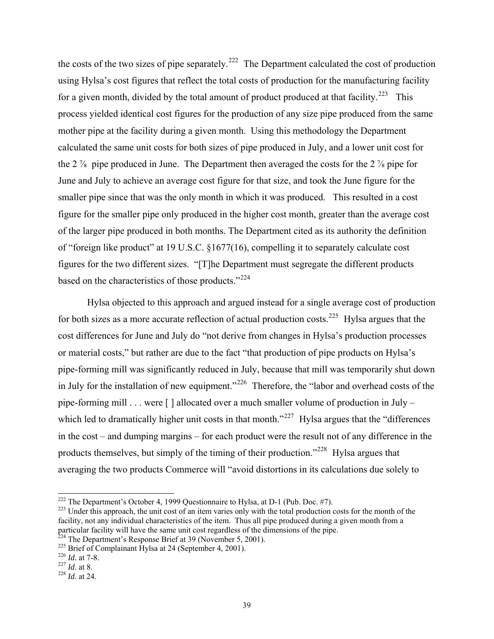the costs of the two sizes of pipe separately.<sup>222</sup> The Department calculated the cost of production using Hylsa's cost figures that reflect the total costs of production for the manufacturing facility for a given month, divided by the total amount of product produced at that facility.<sup>[223](#page-38-1)</sup> This process yielded identical cost figures for the production of any size pipe produced from the same mother pipe at the facility during a given month. Using this methodology the Department calculated the same unit costs for both sizes of pipe produced in July, and a lower unit cost for the 2  $\frac{7}{8}$  pipe produced in June. The Department then averaged the costs for the 2  $\frac{7}{8}$  pipe for June and July to achieve an average cost figure for that size, and took the June figure for the smaller pipe since that was the only month in which it was produced. This resulted in a cost figure for the smaller pipe only produced in the higher cost month, greater than the average cost of the larger pipe produced in both months. The Department cited as its authority the definition of "foreign like product" at 19 U.S.C. §1677(16), compelling it to separately calculate cost figures for the two different sizes. "[T]he Department must segregate the different products based on the characteristics of those products."<sup>[224](#page-38-2)</sup>

Hylsa objected to this approach and argued instead for a single average cost of production for both sizes as a more accurate reflection of actual production costs.<sup>[225](#page-38-3)</sup> Hylsa argues that the cost differences for June and July do "not derive from changes in Hylsa's production processes or material costs," but rather are due to the fact "that production of pipe products on Hylsa's pipe-forming mill was significantly reduced in July, because that mill was temporarily shut down in July for the installation of new equipment."<sup>[226](#page-38-4)</sup> Therefore, the "labor and overhead costs of the pipe-forming mill . . . were [ ] allocated over a much smaller volume of production in July – which led to dramatically higher unit costs in that month."<sup>[227](#page-38-5)</sup> Hylsa argues that the "differences" in the cost – and dumping margins – for each product were the result not of any difference in the products themselves, but simply of the timing of their production."<sup>[228](#page-38-6)</sup> Hylsa argues that averaging the two products Commerce will "avoid distortions in its calculations due solely to

<span id="page-38-0"></span> $222$  The Department's October 4, 1999 Questionnaire to Hylsa, at D-1 (Pub. Doc. #7).

<span id="page-38-1"></span> $223$  Under this approach, the unit cost of an item varies only with the total production costs for the month of the facility, not any individual characteristics of the item. Thus all pipe produced during a given month from a particular facility will have the same unit cost regardless of the dimensions of the pipe.<br><sup>224</sup> The Department's Response Brief at 39 (November 5, 2001).<br><sup>225</sup> Brief of Complainant Hylsa at 24 (September 4, 2001).<br><sup>225</sup>

<span id="page-38-2"></span>

<span id="page-38-5"></span><span id="page-38-4"></span><span id="page-38-3"></span>

<span id="page-38-6"></span>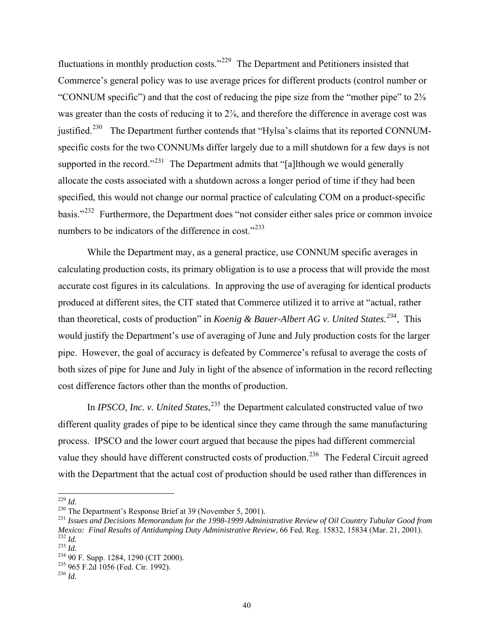fluctuations in monthly production costs."<sup>[229](#page-39-0)</sup> The Department and Petitioners insisted that Commerce's general policy was to use average prices for different products (control number or "CONNUM specific") and that the cost of reducing the pipe size from the "mother pipe" to 2⅜ was greater than the costs of reducing it to 2<sup>%</sup>, and therefore the difference in average cost was justified.<sup>[230](#page-39-1)</sup> The Department further contends that "Hylsa's claims that its reported CONNUMspecific costs for the two CONNUMs differ largely due to a mill shutdown for a few days is not supported in the record."<sup>[231](#page-39-2)</sup> The Department admits that "[a]lthough we would generally allocate the costs associated with a shutdown across a longer period of time if they had been specified, this would not change our normal practice of calculating COM on a product-specific basis."[232](#page-39-3) Furthermore, the Department does "not consider either sales price or common invoice numbers to be indicators of the difference in cost."<sup>[233](#page-39-4)</sup>

While the Department may, as a general practice, use CONNUM specific averages in calculating production costs, its primary obligation is to use a process that will provide the most accurate cost figures in its calculations. In approving the use of averaging for identical products produced at different sites, the CIT stated that Commerce utilized it to arrive at "actual, rather than theoretical, costs of production" in *Koenig & Bauer-Albert AG v. United States.[234](#page-39-5)*, This would justify the Department's use of averaging of June and July production costs for the larger pipe. However, the goal of accuracy is defeated by Commerce's refusal to average the costs of both sizes of pipe for June and July in light of the absence of information in the record reflecting cost difference factors other than the months of production.

In *IPSCO*, *Inc. v. United States*,<sup>[235](#page-39-6)</sup> the Department calculated constructed value of two different quality grades of pipe to be identical since they came through the same manufacturing process. IPSCO and the lower court argued that because the pipes had different commercial value they should have different constructed costs of production.<sup>[236](#page-39-7)</sup> The Federal Circuit agreed with the Department that the actual cost of production should be used rather than differences in

<span id="page-39-0"></span> $^{229}$  *Id.* 

<span id="page-39-2"></span><span id="page-39-1"></span><sup>&</sup>lt;sup>230</sup> The Department's Response Brief at 39 (November 5, 2001).<br><sup>231</sup> *Issues and Decisions Memorandum for the 1998-1999 Administrative Review of Oil Country Tubular Good from Mexico:* Final Results of Antidumping Duty Administrative Review, 66 Fed. Reg. 15832, 15834 (Mar. 21, 2001).<br><sup>232</sup> Id.<br><sup>233</sup> Id.<br><sup>234</sup> 90 F. Supp. 1284, 1290 (CIT 2000).<br><sup>235</sup> 965 F.2d 1056 (Fed. Cir. 1992).

<span id="page-39-4"></span><span id="page-39-3"></span>

<span id="page-39-6"></span><span id="page-39-5"></span>

<span id="page-39-7"></span>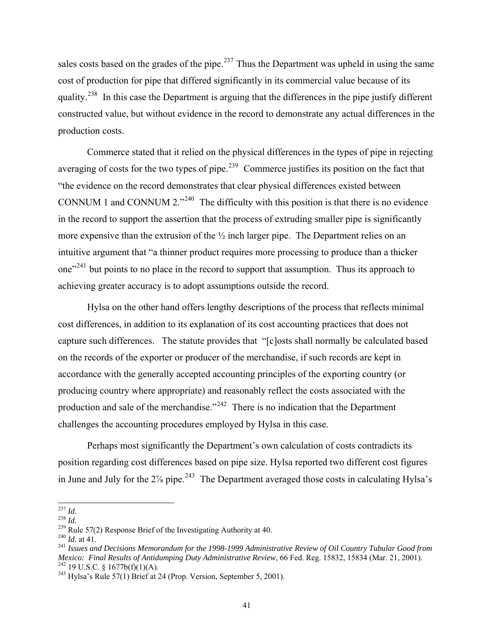sales costs based on the grades of the pipe.<sup>[237](#page-40-0)</sup> Thus the Department was upheld in using the same cost of production for pipe that differed significantly in its commercial value because of its quality.[238](#page-40-1) In this case the Department is arguing that the differences in the pipe justify different constructed value, but without evidence in the record to demonstrate any actual differences in the production costs.

Commerce stated that it relied on the physical differences in the types of pipe in rejecting averaging of costs for the two types of pipe.<sup>[239](#page-40-2)</sup> Commerce justifies its position on the fact that "the evidence on the record demonstrates that clear physical differences existed between CONNUM 1 and CONNUM  $2.^{240}$  $2.^{240}$  $2.^{240}$  The difficulty with this position is that there is no evidence in the record to support the assertion that the process of extruding smaller pipe is significantly more expensive than the extrusion of the  $\frac{1}{2}$  inch larger pipe. The Department relies on an intuitive argument that "a thinner product requires more processing to produce than a thicker one"<sup>[241](#page-40-4)</sup> but points to no place in the record to support that assumption. Thus its approach to achieving greater accuracy is to adopt assumptions outside the record.

Hylsa on the other hand offers lengthy descriptions of the process that reflects minimal cost differences, in addition to its explanation of its cost accounting practices that does not capture such differences. The statute provides that "[c]osts shall normally be calculated based on the records of the exporter or producer of the merchandise, if such records are kept in accordance with the generally accepted accounting principles of the exporting country (or producing country where appropriate) and reasonably reflect the costs associated with the production and sale of the merchandise." $242$  There is no indication that the Department challenges the accounting procedures employed by Hylsa in this case.

Perhaps most significantly the Department's own calculation of costs contradicts its position regarding cost differences based on pipe size. Hylsa reported two different cost figures in June and July for the  $2\frac{1}{3}$  The Department averaged those costs in calculating Hylsa's

<span id="page-40-0"></span> $^{237}$  *Id.* 

<span id="page-40-4"></span><span id="page-40-3"></span>

<span id="page-40-2"></span><span id="page-40-1"></span><sup>&</sup>lt;sup>238</sup> *Id.*<br><sup>239</sup> Rule 57(2) Response Brief of the Investigating Authority at 40.<br><sup>240</sup> *Id.* at 41.<br><sup>241</sup> *Issues and Decisions Memorandum for the 1998-1999 Administrative Review of Oil Country Tubular Good from Mexico: Final Results of Antidumping Duty Administrative Review*, 66 Fed. Reg. 15832, 15834 (Mar. 21, 2001). <sup>242</sup> 19 U.S.C. § 1677b(f)(1)(A). <sup>243</sup> Hylsa's Rule 57(1) Brief at 24 (Prop. Version, September 5, 2001).

<span id="page-40-6"></span><span id="page-40-5"></span>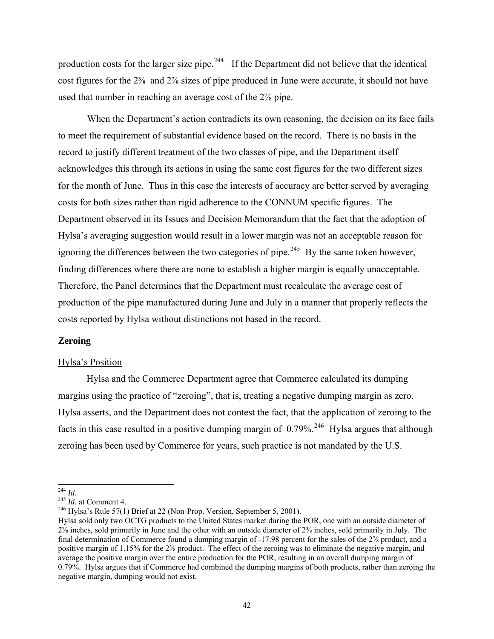production costs for the larger size pipe.<sup>[244](#page-41-0)</sup> If the Department did not believe that the identical cost figures for the 2⅜ and 2⅞ sizes of pipe produced in June were accurate, it should not have used that number in reaching an average cost of the 2<sup>7/8</sup> pipe.

When the Department's action contradicts its own reasoning, the decision on its face fails to meet the requirement of substantial evidence based on the record. There is no basis in the record to justify different treatment of the two classes of pipe, and the Department itself acknowledges this through its actions in using the same cost figures for the two different sizes for the month of June. Thus in this case the interests of accuracy are better served by averaging costs for both sizes rather than rigid adherence to the CONNUM specific figures. The Department observed in its Issues and Decision Memorandum that the fact that the adoption of Hylsa's averaging suggestion would result in a lower margin was not an acceptable reason for ignoring the differences between the two categories of pipe.<sup>[245](#page-41-1)</sup> By the same token however, finding differences where there are none to establish a higher margin is equally unacceptable. Therefore, the Panel determines that the Department must recalculate the average cost of production of the pipe manufactured during June and July in a manner that properly reflects the costs reported by Hylsa without distinctions not based in the record.

#### **Zeroing**

#### Hylsa's Position

Hylsa and the Commerce Department agree that Commerce calculated its dumping margins using the practice of "zeroing", that is, treating a negative dumping margin as zero. Hylsa asserts, and the Department does not contest the fact, that the application of zeroing to the facts in this case resulted in a positive dumping margin of  $0.79\%$ <sup>[246](#page-41-2)</sup> Hylsa argues that although zeroing has been used by Commerce for years, such practice is not mandated by the U.S.

<span id="page-41-0"></span> $^{244}$  *Id.* 

<span id="page-41-2"></span><span id="page-41-1"></span><sup>245</sup> *Id.* at Comment 4.<br><sup>245</sup> *Id.* at Comment 4.<br><sup>246</sup> Hylsa's Rule 57(1) Brief at 22 (Non-Prop. Version, September 5, 2001).

Hylsa sold only two OCTG products to the United States market during the POR, one with an outside diameter of 2⅞ inches, sold primarily in June and the other with an outside diameter of 2⅜ inches, sold primarily in July. The final determination of Commerce found a dumping margin of -17.98 percent for the sales of the 2<sup>%</sup> product, and a positive margin of 1.15% for the 2⅜ product. The effect of the zeroing was to eliminate the negative margin, and average the positive margin over the entire production for the POR, resulting in an overall dumping margin of 0.79%. Hylsa argues that if Commerce had combined the dumping margins of both products, rather than zeroing the negative margin, dumping would not exist.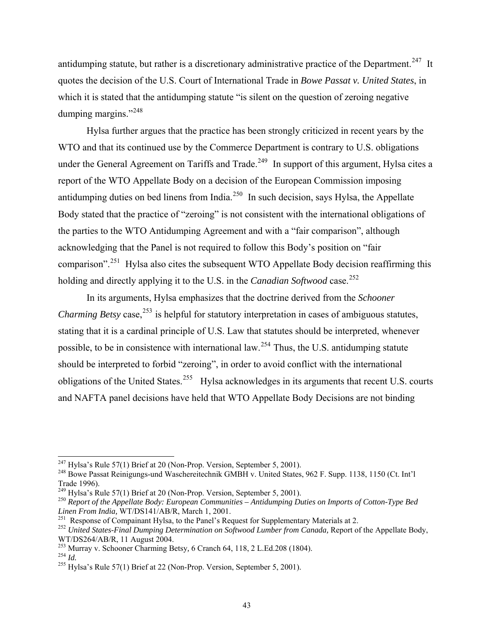antidumping statute, but rather is a discretionary administrative practice of the Department.<sup>[247](#page-42-0)</sup> It quotes the decision of the U.S. Court of International Trade in *Bowe Passat v. United States*, in which it is stated that the antidumping statute "is silent on the question of zeroing negative dumping margins."[248](#page-42-1)

Hylsa further argues that the practice has been strongly criticized in recent years by the WTO and that its continued use by the Commerce Department is contrary to U.S. obligations under the General Agreement on Tariffs and Trade.<sup>[249](#page-42-2)</sup> In support of this argument, Hylsa cites a report of the WTO Appellate Body on a decision of the European Commission imposing antidumping duties on bed linens from India. $^{250}$  $^{250}$  $^{250}$  In such decision, says Hylsa, the Appellate Body stated that the practice of "zeroing" is not consistent with the international obligations of the parties to the WTO Antidumping Agreement and with a "fair comparison", although acknowledging that the Panel is not required to follow this Body's position on "fair comparison".<sup>[251](#page-42-4)</sup> Hylsa also cites the subsequent WTO Appellate Body decision reaffirming this holding and directly applying it to the U.S. in the *Canadian Softwood* case.<sup>[252](#page-42-5)</sup>

In its arguments, Hylsa emphasizes that the doctrine derived from the *Schooner Charming Betsy case*,<sup>[253](#page-42-6)</sup> is helpful for statutory interpretation in cases of ambiguous statutes, stating that it is a cardinal principle of U.S. Law that statutes should be interpreted, whenever possible, to be in consistence with international law.[254](#page-42-7) Thus, the U.S. antidumping statute should be interpreted to forbid "zeroing", in order to avoid conflict with the international obligations of the United States.<sup>[255](#page-42-8)</sup> Hylsa acknowledges in its arguments that recent U.S. courts and NAFTA panel decisions have held that WTO Appellate Body Decisions are not binding

<span id="page-42-0"></span> $^{247}$  Hylsa's Rule 57(1) Brief at 20 (Non-Prop. Version, September 5, 2001).

<span id="page-42-1"></span><sup>&</sup>lt;sup>248</sup> Bowe Passat Reinigungs-und Waschereitechnik GMBH v. United States, 962 F. Supp. 1138, 1150 (Ct. Int'l Trade 1996).<br><sup>249</sup> Hylsa's Rule 57(1) Brief at 20 (Non-Prop. Version, September 5, 2001).

<span id="page-42-3"></span><span id="page-42-2"></span><sup>&</sup>lt;sup>250</sup> Report of the Appellate Body: European Communities – Antidumping Duties on Imports of Cotton-Type Bed Linen From India, WT/DS141/AB/R, March 1, 2001.<br><sup>251</sup> Response of Compainant Hylsa, to the Panel's Request for Supplementary Materials at 2.<br><sup>252</sup> United States-Final Dumping Determination on Softwood Lumber from Canada, R

<span id="page-42-4"></span>

<span id="page-42-5"></span>WT/DS264/AB/R, 11 August 2004.

<span id="page-42-6"></span><sup>&</sup>lt;sup>253</sup> Murray v. Schooner Charming Betsy, 6 Cranch 64, 118, 2 L.Ed.208 (1804).<br><sup>254</sup> *Id.* <sup>255</sup> Hylsa's Rule 57(1) Brief at 22 (Non-Prop. Version, September 5, 2001).

<span id="page-42-8"></span><span id="page-42-7"></span>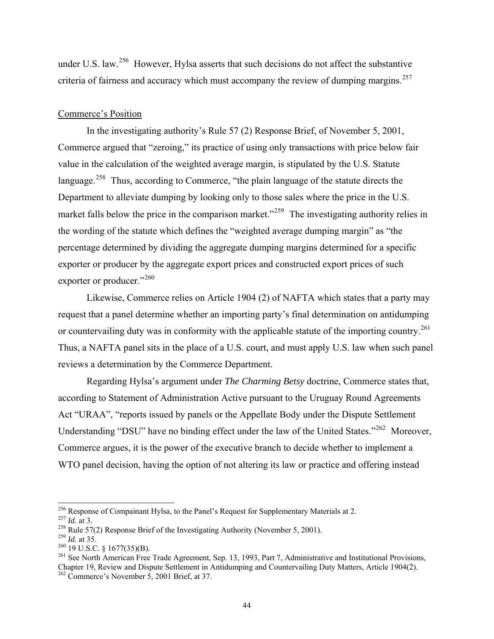under U.S. law.<sup>[256](#page-43-0)</sup> However, Hylsa asserts that such decisions do not affect the substantive criteria of fairness and accuracy which must accompany the review of dumping margins.<sup>[257](#page-43-1)</sup>

### Commerce's Position

In the investigating authority's Rule 57 (2) Response Brief, of November 5, 2001, Commerce argued that "zeroing," its practice of using only transactions with price below fair value in the calculation of the weighted average margin, is stipulated by the U.S. Statute language.<sup>[258](#page-43-2)</sup> Thus, according to Commerce, "the plain language of the statute directs the Department to alleviate dumping by looking only to those sales where the price in the U.S. market falls below the price in the comparison market."<sup>[259](#page-43-3)</sup> The investigating authority relies in the wording of the statute which defines the "weighted average dumping margin" as "the percentage determined by dividing the aggregate dumping margins determined for a specific exporter or producer by the aggregate export prices and constructed export prices of such exporter or producer."<sup>[260](#page-43-4)</sup>

Likewise, Commerce relies on Article 1904 (2) of NAFTA which states that a party may request that a panel determine whether an importing party's final determination on antidumping or countervailing duty was in conformity with the applicable statute of the importing country.<sup>[261](#page-43-5)</sup> Thus, a NAFTA panel sits in the place of a U.S. court, and must apply U.S. law when such panel reviews a determination by the Commerce Department.

Regarding Hylsa's argument under *The Charming Betsy* doctrine, Commerce states that, according to Statement of Administration Active pursuant to the Uruguay Round Agreements Act "URAA", "reports issued by panels or the Appellate Body under the Dispute Settlement Understanding "DSU" have no binding effect under the law of the United States."<sup>[262](#page-43-6)</sup> Moreover, Commerce argues, it is the power of the executive branch to decide whether to implement a WTO panel decision, having the option of not altering its law or practice and offering instead

<sup>&</sup>lt;sup>256</sup> Response of Compainant Hylsa, to the Panel's Request for Supplementary Materials at 2.

<span id="page-43-3"></span>

<span id="page-43-6"></span><span id="page-43-5"></span><span id="page-43-4"></span>

<span id="page-43-2"></span><span id="page-43-1"></span><span id="page-43-0"></span><sup>&</sup>lt;sup>257</sup> *Id.* at 3.<br><sup>258</sup> Rule 57(2) Response Brief of the Investigating Authority (November 5, 2001).<br><sup>259</sup> *Id.* at 35.<br><sup>259</sup> 19 U.S.C. § 1677(35)(B).<br><sup>260</sup> 19 U.S.C. § 1677(35)(B).<br><sup>261</sup> See North American Free Trade Agr Chapter 19, Review and Dispute Settlement in Antidumping and Countervailing Duty Matters, Article 1904(2). 262 Commerce's November 5, 2001 Brief, at 37.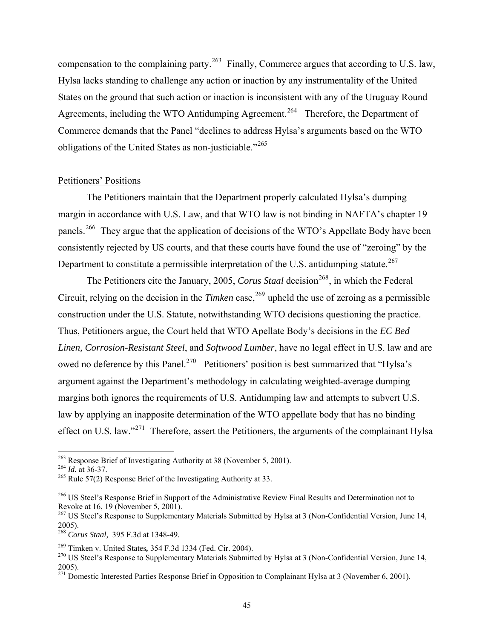compensation to the complaining party.<sup>[263](#page-44-0)</sup> Finally, Commerce argues that according to U.S. law, Hylsa lacks standing to challenge any action or inaction by any instrumentality of the United States on the ground that such action or inaction is inconsistent with any of the Uruguay Round Agreements, including the WTO Antidumping Agreement.<sup>[264](#page-44-1)</sup> Therefore, the Department of Commerce demands that the Panel "declines to address Hylsa's arguments based on the WTO obligations of the United States as non-justiciable."[265](#page-44-2)

#### Petitioners' Positions

The Petitioners maintain that the Department properly calculated Hylsa's dumping margin in accordance with U.S. Law, and that WTO law is not binding in NAFTA's chapter 19 panels.<sup>[266](#page-44-3)</sup> They argue that the application of decisions of the WTO's Appellate Body have been consistently rejected by US courts, and that these courts have found the use of "zeroing" by the Department to constitute a permissible interpretation of the U.S. antidumping statute.<sup>[267](#page-44-4)</sup>

The Petitioners cite the January, 2005, *Corus Staal* decision<sup>[268](#page-44-5)</sup>, in which the Federal Circuit, relying on the decision in the *Timken* case, <sup>[269](#page-44-6)</sup> upheld the use of zeroing as a permissible construction under the U.S. Statute, notwithstanding WTO decisions questioning the practice. Thus, Petitioners argue, the Court held that WTO Apellate Body's decisions in the *EC Bed Linen, Corrosion-Resistant Steel*, and *Softwood Lumber*, have no legal effect in U.S. law and are owed no deference by this Panel.<sup>[270](#page-44-7)</sup> Petitioners' position is best summarized that "Hylsa's argument against the Department's methodology in calculating weighted-average dumping margins both ignores the requirements of U.S. Antidumping law and attempts to subvert U.S. law by applying an inapposite determination of the WTO appellate body that has no binding effect on U.S. law."[271](#page-44-8) Therefore, assert the Petitioners, the arguments of the complainant Hylsa

<span id="page-44-0"></span><sup>&</sup>lt;sup>263</sup> Response Brief of Investigating Authority at 38 (November 5, 2001).<br><sup>264</sup> *Id.* at 36-37.<br><sup>265</sup> Rule 57(2) Response Brief of the Investigating Authority at 33.

<span id="page-44-1"></span>

<span id="page-44-2"></span>

<span id="page-44-3"></span><sup>&</sup>lt;sup>266</sup> US Steel's Response Brief in Support of the Administrative Review Final Results and Determination not to Revoke at 16, 19 (November 5, 2001).

<span id="page-44-4"></span><sup>&</sup>lt;sup>267</sup> US Steel's Response to Supplementary Materials Submitted by Hylsa at 3 (Non-Confidential Version, June 14, 2005).

<span id="page-44-5"></span><sup>268</sup> *Corus Staal,* 395 F.3d at 1348-49.

<span id="page-44-7"></span><span id="page-44-6"></span><sup>&</sup>lt;sup>269</sup> Timken v. United States, 354 F.3d 1334 (Fed. Cir. 2004).<br><sup>270</sup> US Steel's Response to Supplementary Materials Submitted by Hylsa at 3 (Non-Confidential Version, June 14, 2005).

<span id="page-44-8"></span><sup>&</sup>lt;sup>271</sup> Domestic Interested Parties Response Brief in Opposition to Complainant Hylsa at 3 (November 6, 2001).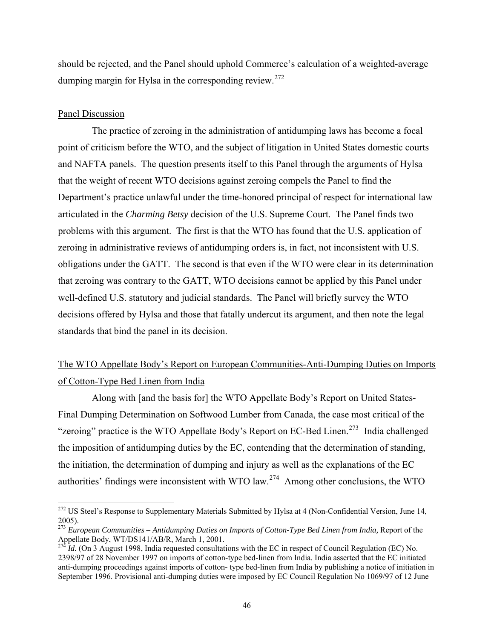should be rejected, and the Panel should uphold Commerce's calculation of a weighted-average dumping margin for Hylsa in the corresponding review.<sup>[272](#page-45-0)</sup>

### Panel Discussion

 $\overline{a}$ 

The practice of zeroing in the administration of antidumping laws has become a focal point of criticism before the WTO, and the subject of litigation in United States domestic courts and NAFTA panels. The question presents itself to this Panel through the arguments of Hylsa that the weight of recent WTO decisions against zeroing compels the Panel to find the Department's practice unlawful under the time-honored principal of respect for international law articulated in the *Charming Betsy* decision of the U.S. Supreme Court. The Panel finds two problems with this argument. The first is that the WTO has found that the U.S. application of zeroing in administrative reviews of antidumping orders is, in fact, not inconsistent with U.S. obligations under the GATT. The second is that even if the WTO were clear in its determination that zeroing was contrary to the GATT, WTO decisions cannot be applied by this Panel under well-defined U.S. statutory and judicial standards. The Panel will briefly survey the WTO decisions offered by Hylsa and those that fatally undercut its argument, and then note the legal standards that bind the panel in its decision.

# The WTO Appellate Body's Report on European Communities-Anti-Dumping Duties on Imports of Cotton-Type Bed Linen from India

 Along with [and the basis for] the WTO Appellate Body's Report on United States-Final Dumping Determination on Softwood Lumber from Canada, the case most critical of the "zeroing" practice is the WTO Appellate Body's Report on EC-Bed Linen.<sup>[273](#page-45-1)</sup> India challenged the imposition of antidumping duties by the EC, contending that the determination of standing, the initiation, the determination of dumping and injury as well as the explanations of the EC authorities' findings were inconsistent with WTO law.[274](#page-45-2) Among other conclusions, the WTO

<span id="page-45-0"></span><sup>&</sup>lt;sup>272</sup> US Steel's Response to Supplementary Materials Submitted by Hylsa at 4 (Non-Confidential Version, June 14, 2005).

<span id="page-45-1"></span><sup>273</sup> *European Communities – Antidumping Duties on Imports of Cotton-Type Bed Linen from India,* Report of the Appellate Body, WT/DS141/AB/R, March 1, 2001.

<span id="page-45-2"></span> $^{27\hat{4}}$  *Id.* (On 3 August 1998, India requested consultations with the EC in respect of Council Regulation (EC) No. 2398/97 of 28 November 1997 on imports of cotton-type bed-linen from India. India asserted that the EC initiated anti-dumping proceedings against imports of cotton- type bed-linen from India by publishing a notice of initiation in September 1996. Provisional anti-dumping duties were imposed by EC Council Regulation No 1069/97 of 12 June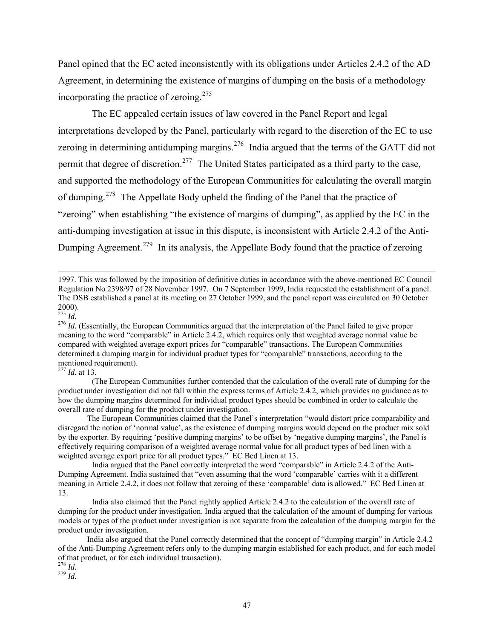Panel opined that the EC acted inconsistently with its obligations under Articles 2.4.2 of the AD Agreement, in determining the existence of margins of dumping on the basis of a methodology incorporating the practice of zeroing.<sup>[275](#page-46-0)</sup>

 The EC appealed certain issues of law covered in the Panel Report and legal interpretations developed by the Panel, particularly with regard to the discretion of the EC to use zeroing in determining antidumping margins.<sup>[276](#page-46-1)</sup> India argued that the terms of the GATT did not permit that degree of discretion.<sup>[277](#page-46-2)</sup> The United States participated as a third party to the case, and supported the methodology of the European Communities for calculating the overall margin of dumping.[278](#page-46-3) The Appellate Body upheld the finding of the Panel that the practice of "zeroing" when establishing "the existence of margins of dumping", as applied by the EC in the anti-dumping investigation at issue in this dispute, is inconsistent with Article 2.4.2 of the Anti-Dumping Agreement.<sup>[279](#page-46-4)</sup> In its analysis, the Appellate Body found that the practice of zeroing

 $\overline{\phantom{a}}$ 

<span id="page-46-2"></span><sup>277</sup> *Id.* at 13.

<span id="page-46-4"></span><span id="page-46-3"></span> $^{279}$  *Id.* 

<sup>1997.</sup> This was followed by the imposition of definitive duties in accordance with the above-mentioned EC Council Regulation No 2398/97 of 28 November 1997. On 7 September 1999, India requested the establishment of a panel. The DSB established a panel at its meeting on 27 October 1999, and the panel report was circulated on 30 October  $\frac{2000}{^{275}}$ *Id.* 

<span id="page-46-0"></span>

<span id="page-46-1"></span><sup>&</sup>lt;sup>276</sup> *Id.* (Essentially, the European Communities argued that the interpretation of the Panel failed to give proper meaning to the word "comparable" in Article 2.4.2, which requires only that weighted average normal value be compared with weighted average export prices for "comparable" transactions. The European Communities determined a dumping margin for individual product types for "comparable" transactions, according to the mentioned requirement).

 <sup>(</sup>The European Communities further contended that the calculation of the overall rate of dumping for the product under investigation did not fall within the express terms of Article 2.4.2, which provides no guidance as to how the dumping margins determined for individual product types should be combined in order to calculate the overall rate of dumping for the product under investigation.

The European Communities claimed that the Panel's interpretation "would distort price comparability and disregard the notion of 'normal value', as the existence of dumping margins would depend on the product mix sold by the exporter. By requiring 'positive dumping margins' to be offset by 'negative dumping margins', the Panel is effectively requiring comparison of a weighted average normal value for all product types of bed linen with a weighted average export price for all product types." EC Bed Linen at 13.

India argued that the Panel correctly interpreted the word "comparable" in Article 2.4.2 of the Anti-Dumping Agreement. India sustained that "even assuming that the word 'comparable' carries with it a different meaning in Article 2.4.2, it does not follow that zeroing of these 'comparable' data is allowed." EC Bed Linen at 13.

India also claimed that the Panel rightly applied Article 2.4.2 to the calculation of the overall rate of dumping for the product under investigation. India argued that the calculation of the amount of dumping for various models or types of the product under investigation is not separate from the calculation of the dumping margin for the product under investigation.

India also argued that the Panel correctly determined that the concept of "dumping margin" in Article 2.4.2 of the Anti-Dumping Agreement refers only to the dumping margin established for each product, and for each model of that product, or for each individual transaction).<br> $^{278}$  *Id.*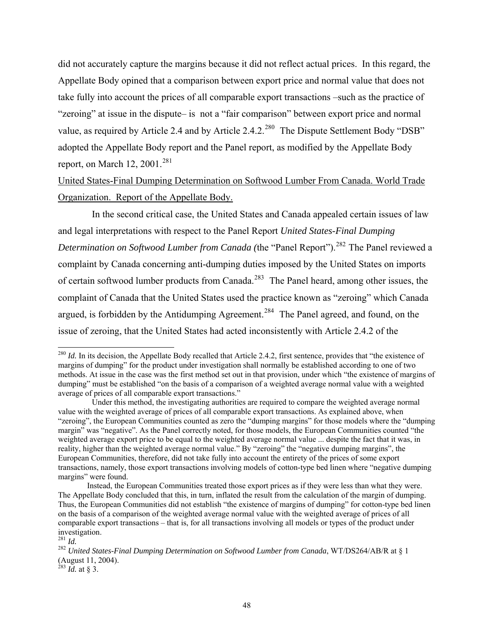did not accurately capture the margins because it did not reflect actual prices. In this regard, the Appellate Body opined that a comparison between export price and normal value that does not take fully into account the prices of all comparable export transactions –such as the practice of "zeroing" at issue in the dispute– is not a "fair comparison" between export price and normal value, as required by Article 2.4 and by Article  $2.4.2^{280}$  The Dispute Settlement Body "DSB" adopted the Appellate Body report and the Panel report, as modified by the Appellate Body report, on March 12, 2001.<sup>[281](#page-47-1)</sup>

## United States-Final Dumping Determination on Softwood Lumber From Canada. World Trade Organization. Report of the Appellate Body.

<span id="page-47-4"></span> In the second critical case, the United States and Canada appealed certain issues of law and legal interpretations with respect to the Panel Report *United States-Final Dumping Determination on Softwood Lumber from Canada (the "Panel Report").*<sup>[282](#page-47-2)</sup> The Panel reviewed a complaint by Canada concerning anti-dumping duties imposed by the United States on imports of certain softwood lumber products from Canada.<sup>[283](#page-47-3)</sup> The Panel heard, among other issues, the complaint of Canada that the United States used the practice known as "zeroing" which Canada argued, is forbidden by the Antidumping Agreement.<sup>[284](#page-47-4)</sup> The Panel agreed, and found, on the issue of zeroing, that the United States had acted inconsistently with Article 2.4.2 of the

 $\overline{\phantom{a}}$ 

<span id="page-47-0"></span><sup>&</sup>lt;sup>280</sup> *Id.* In its decision, the Appellate Body recalled that Article 2.4.2, first sentence, provides that "the existence of margins of dumping" for the product under investigation shall normally be established according to one of two methods. At issue in the case was the first method set out in that provision, under which "the existence of margins of dumping" must be established "on the basis of a comparison of a weighted average normal value with a weighted average of prices of all comparable export transactions."

Under this method, the investigating authorities are required to compare the weighted average normal value with the weighted average of prices of all comparable export transactions. As explained above, when "zeroing", the European Communities counted as zero the "dumping margins" for those models where the "dumping margin" was "negative". As the Panel correctly noted, for those models, the European Communities counted "the weighted average export price to be equal to the weighted average normal value ... despite the fact that it was, in reality, higher than the weighted average normal value." By "zeroing" the "negative dumping margins", the European Communities, therefore, did not take fully into account the entirety of the prices of some export transactions, namely, those export transactions involving models of cotton-type bed linen where "negative dumping margins" were found.

Instead, the European Communities treated those export prices as if they were less than what they were. The Appellate Body concluded that this, in turn, inflated the result from the calculation of the margin of dumping. Thus, the European Communities did not establish "the existence of margins of dumping" for cotton-type bed linen on the basis of a comparison of the weighted average normal value with the weighted average of prices of all comparable export transactions – that is, for all transactions involving all models or types of the product under investigation.<br> $^{281}$  *Id.* 

<span id="page-47-1"></span>

<span id="page-47-2"></span><sup>&</sup>lt;sup>282</sup> *United States-Final Dumping Determination on Softwood Lumber from Canada*, WT/DS264/AB/R at § 1 (August 11, 2004).

<span id="page-47-3"></span> $^{283}$  *Id.* at § 3.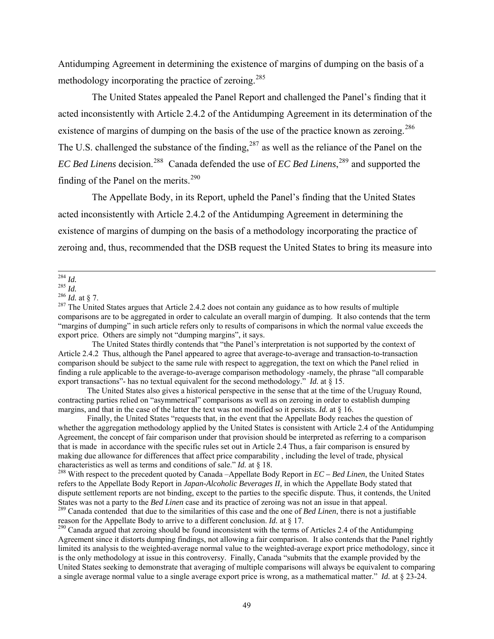Antidumping Agreement in determining the existence of margins of dumping on the basis of a methodology incorporating the practice of zeroing.<sup>[285](#page-48-0)</sup>

 The United States appealed the Panel Report and challenged the Panel's finding that it acted inconsistently with Article 2.4.2 of the Antidumping Agreement in its determination of the existence of margins of dumping on the basis of the use of the practice known as zeroing.<sup>[286](#page-48-1)</sup> The U.S. challenged the substance of the finding,<sup>[287](#page-48-2)</sup> as well as the reliance of the Panel on the EC *Bed Linens* decision.<sup>[288](#page-48-3)</sup> Canada defended the use of *EC Bed Linens*,<sup>[289](#page-48-4)</sup> and supported the finding of the Panel on the merits.<sup>[290](#page-48-5)</sup>

 The Appellate Body, in its Report, upheld the Panel's finding that the United States acted inconsistently with Article 2.4.2 of the Antidumping Agreement in determining the existence of margins of dumping on the basis of a methodology incorporating the practice of zeroing and, thus, recommended that the DSB request the United States to bring its measure into

 The United States thirdly contends that "the Panel's interpretation is not supported by the context of Article 2.4.2 Thus, although the Panel appeared to agree that average-to-average and transaction-to-transaction comparison should be subject to the same rule with respect to aggregation, the text on which the Panel relied in finding a rule applicable to the average-to-average comparison methodology -namely, the phrase "all comparable export transactions"- has no textual equivalent for the second methodology." *Id.* at § 15.

 The United States also gives a historical perspective in the sense that at the time of the Uruguay Round, contracting parties relied on "asymmetrical" comparisons as well as on zeroing in order to establish dumping margins, and that in the case of the latter the text was not modified so it persists. *Id.* at § 16.

 Finally, the United States "requests that, in the event that the Appellate Body reaches the question of whether the aggregation methodology applied by the United States is consistent with Article 2.4 of the Antidumping Agreement, the concept of fair comparison under that provision should be interpreted as referring to a comparison that is made in accordance with the specific rules set out in Article 2.4 Thus, a fair comparison is ensured by making due allowance for differences that affect price comparability , including the level of trade, physical characteristics as well as terms and conditions of sale." *Id.* at § 18.<br><sup>288</sup> With respect to the precedent quoted by Canada –Appellate Body Report in *EC – Bed Linen*, the United States

<span id="page-48-3"></span>refers to the Appellate Body Report in *Japan-Alcoholic Beverages II,* in which the Appellate Body stated that dispute settlement reports are not binding, except to the parties to the specific dispute. Thus, it contends, the United States was not a party to the *Bed Linen* case and its practice of zeroing was not an issue in that a

<span id="page-48-4"></span><sup>289</sup> Canada contended that due to the similarities of this case and the one of *Bed Linen*, there is not a justifiable reason for the Appellate Body to arrive to a different conclusion. *Id.* at  $\S$  17.

<span id="page-48-5"></span><sup>290</sup> Canada argued that zeroing should be found inconsistent with the terms of Articles 2.4 of the Antidumping Agreement since it distorts dumping findings, not allowing a fair comparison. It also contends that the Panel rightly limited its analysis to the weighted-average normal value to the weighted-average export price methodology, since it is the only methodology at issue in this controversy. Finally, Canada "submits that the example provided by the United States seeking to demonstrate that averaging of multiple comparisons will always be equivalent to comparing a single average normal value to a single average export price is wrong, as a mathematical matter." *Id.* at § 23-24.

 $^{284}$  *Id.* 

<span id="page-48-2"></span>

<span id="page-48-1"></span><span id="page-48-0"></span><sup>&</sup>lt;sup>285</sup> *Id.*<br><sup>286</sup> *Id.* at § 7.<br><sup>286</sup> *Id.* at § 7.<br><sup>287</sup> The United States argues that Article 2.4.2 does not contain any guidance as to how results of multiple comparisons are to be aggregated in order to calculate an overall margin of dumping. It also contends that the term "margins of dumping" in such article refers only to results of comparisons in which the normal value exceeds the export price. Others are simply not "dumping margins", it says.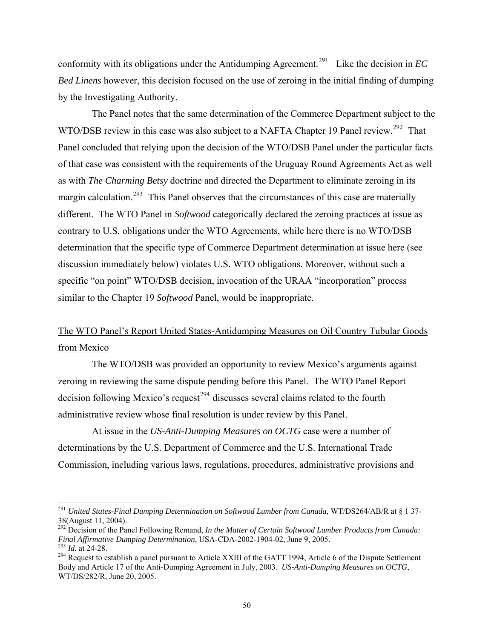conformity with its obligations under the Antidumping Agreement.<sup>[291](#page-49-0)</sup> Like the decision in  $EC$ *Bed Linens* however, this decision focused on the use of zeroing in the initial finding of dumping by the Investigating Authority.

 The Panel notes that the same determination of the Commerce Department subject to the WTO/DSB review in this case was also subject to a NAFTA Chapter 19 Panel review.<sup>[292](#page-49-1)</sup> That Panel concluded that relying upon the decision of the WTO/DSB Panel under the particular facts of that case was consistent with the requirements of the Uruguay Round Agreements Act as well as with *The Charming Betsy* doctrine and directed the Department to eliminate zeroing in its margin calculation.<sup>[293](#page-49-2)</sup> This Panel observes that the circumstances of this case are materially different. The WTO Panel in *Softwood* categorically declared the zeroing practices at issue as contrary to U.S. obligations under the WTO Agreements, while here there is no WTO/DSB determination that the specific type of Commerce Department determination at issue here (see discussion immediately below) violates U.S. WTO obligations. Moreover, without such a specific "on point" WTO/DSB decision, invocation of the URAA "incorporation" process similar to the Chapter 19 *Softwood* Panel, would be inappropriate.

# The WTO Panel's Report United States-Antidumping Measures on Oil Country Tubular Goods from Mexico

 The WTO/DSB was provided an opportunity to review Mexico's arguments against zeroing in reviewing the same dispute pending before this Panel. The WTO Panel Report decision following Mexico's request<sup>[294](#page-49-3)</sup> discusses several claims related to the fourth administrative review whose final resolution is under review by this Panel.

 At issue in the *US-Anti-Dumping Measures on OCTG* case were a number of determinations by the U.S. Department of Commerce and the U.S. International Trade Commission, including various laws, regulations, procedures, administrative provisions and

 $\overline{\phantom{a}}$ 

<span id="page-49-0"></span><sup>291</sup> *United States-Final Dumping Determination on Softwood Lumber from Canada*, WT/DS264/AB/R at § 1 37- 38(August 11, 2004).

<span id="page-49-1"></span><sup>&</sup>lt;sup>292</sup> Decision of the Panel Following Remand, *In the Matter of Certain Softwood Lumber Products from Canada: Final Affirmative Dumping Determination, USA-CDA-2002-1904-02, June 9, 2005.*<br><sup>293</sup> *Id.* at 24-28.<br><sup>294</sup> Request to establish a panel pursuant to Article XXIII of the GATT 1994, Article 6 of the Dispute Settlement

<span id="page-49-3"></span><span id="page-49-2"></span>Body and Article 17 of the Anti-Dumping Agreement in July, 2003. *US-Anti-Dumping Measures on OCTG*, WT/DS/282/R, June 20, 2005.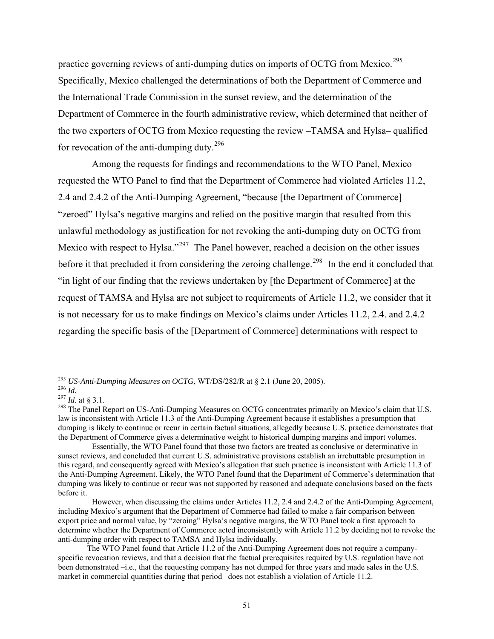practice governing reviews of anti-dumping duties on imports of OCTG from Mexico.<sup>[295](#page-50-0)</sup> Specifically, Mexico challenged the determinations of both the Department of Commerce and the International Trade Commission in the sunset review, and the determination of the Department of Commerce in the fourth administrative review, which determined that neither of the two exporters of OCTG from Mexico requesting the review –TAMSA and Hylsa– qualified for revocation of the anti-dumping duty.<sup>[296](#page-50-1)</sup>

 Among the requests for findings and recommendations to the WTO Panel, Mexico requested the WTO Panel to find that the Department of Commerce had violated Articles 11.2, 2.4 and 2.4.2 of the Anti-Dumping Agreement, "because [the Department of Commerce] "zeroed" Hylsa's negative margins and relied on the positive margin that resulted from this unlawful methodology as justification for not revoking the anti-dumping duty on OCTG from Mexico with respect to Hylsa."<sup>[297](#page-50-2)</sup> The Panel however, reached a decision on the other issues before it that precluded it from considering the zeroing challenge.<sup>[298](#page-50-3)</sup> In the end it concluded that "in light of our finding that the reviews undertaken by [the Department of Commerce] at the request of TAMSA and Hylsa are not subject to requirements of Article 11.2, we consider that it is not necessary for us to make findings on Mexico's claims under Articles 11.2, 2.4. and 2.4.2 regarding the specific basis of the [Department of Commerce] determinations with respect to

 $\overline{\phantom{a}}$ 

<span id="page-50-1"></span>

<span id="page-50-3"></span><span id="page-50-2"></span>

<span id="page-50-0"></span><sup>&</sup>lt;sup>295</sup> US-Anti-Dumping Measures on OCTG, WT/DS/282/R at § 2.1 (June 20, 2005).<br><sup>296</sup> Id.<br><sup>297</sup> Id. at § 3.1.<br><sup>297</sup> Id. at § 3.1.<br><sup>298</sup> The Panel Report on US-Anti-Dumping Measures on OCTG concentrates primarily on Mexico's law is inconsistent with Article 11.3 of the Anti-Dumping Agreement because it establishes a presumption that dumping is likely to continue or recur in certain factual situations, allegedly because U.S. practice demonstrates that the Department of Commerce gives a determinative weight to historical dumping margins and import volumes.

Essentially, the WTO Panel found that those two factors are treated as conclusive or determinative in sunset reviews, and concluded that current U.S. administrative provisions establish an irrebuttable presumption in this regard, and consequently agreed with Mexico's allegation that such practice is inconsistent with Article 11.3 of the Anti-Dumping Agreement. Likely, the WTO Panel found that the Department of Commerce's determination that dumping was likely to continue or recur was not supported by reasoned and adequate conclusions based on the facts before it.

However, when discussing the claims under Articles 11.2, 2.4 and 2.4.2 of the Anti-Dumping Agreement, including Mexico's argument that the Department of Commerce had failed to make a fair comparison between export price and normal value, by "zeroing" Hylsa's negative margins, the WTO Panel took a first approach to determine whether the Department of Commerce acted inconsistently with Article 11.2 by deciding not to revoke the anti-dumping order with respect to TAMSA and Hylsa individually.

The WTO Panel found that Article 11.2 of the Anti-Dumping Agreement does not require a companyspecific revocation reviews, and that a decision that the factual prerequisites required by U.S. regulation have not been demonstrated –i.e., that the requesting company has not dumped for three years and made sales in the U.S. market in commercial quantities during that period– does not establish a violation of Article 11.2.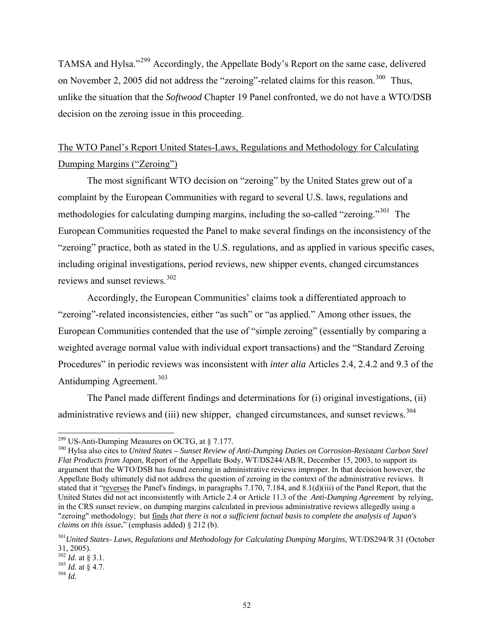TAMSA and Hylsa."[299](#page-51-0) Accordingly, the Appellate Body's Report on the same case, delivered on November 2, 2005 did not address the "zeroing"-related claims for this reason.<sup>[300](#page-51-1)</sup> Thus, unlike the situation that the *Softwood* Chapter 19 Panel confronted, we do not have a WTO/DSB decision on the zeroing issue in this proceeding.

# The WTO Panel's Report United States-Laws, Regulations and Methodology for Calculating Dumping Margins ("Zeroing")

The most significant WTO decision on "zeroing" by the United States grew out of a complaint by the European Communities with regard to several U.S. laws, regulations and methodologies for calculating dumping margins, including the so-called "zeroing."<sup>[301](#page-51-2)</sup> The European Communities requested the Panel to make several findings on the inconsistency of the "zeroing" practice, both as stated in the U.S. regulations, and as applied in various specific cases, including original investigations, period reviews, new shipper events, changed circumstances reviews and sunset reviews.[302](#page-51-3)

Accordingly, the European Communities' claims took a differentiated approach to "zeroing"-related inconsistencies, either "as such" or "as applied." Among other issues, the European Communities contended that the use of "simple zeroing" (essentially by comparing a weighted average normal value with individual export transactions) and the "Standard Zeroing Procedures" in periodic reviews was inconsistent with *inter alia* Articles 2.4, 2.4.2 and 9.3 of the Antidumping Agreement.<sup>[303](#page-51-4)</sup>

The Panel made different findings and determinations for (i) original investigations, (ii) administrative reviews and (iii) new shipper, changed circumstances, and sunset reviews.<sup>[304](#page-51-5)</sup>

<span id="page-51-0"></span><sup>&</sup>lt;sup>299</sup> US-Anti-Dumping Measures on OCTG, at § 7.177.

<span id="page-51-1"></span><sup>&</sup>lt;sup>300</sup> Hylsa also cites to *United States – Sunset Review of Anti-Dumping Duties on Corrosion-Resistant Carbon Steel Flat Products from Japan,* Report of the Appellate Body, WT/DS244/AB/R, December 15, 2003, to support its argument that the WTO/DSB has found zeroing in administrative reviews improper. In that decision however, the Appellate Body ultimately did not address the question of zeroing in the context of the administrative reviews. It stated that it "reverses the Panel's findings, in paragraphs 7.170, 7.184, and 8.1(d)(iii) of the Panel Report, that the United States did not act inconsistently with Article 2.4 or Article 11.3 of the *Anti-Dumping Agreement* by relying, in the CRS sunset review, on dumping margins calculated in previous administrative reviews allegedly using a "zeroing" methodology; but finds *that there is not a sufficient factual basis to complete the analysis of Japan's claims on this issue***.**" (emphasis added) § 212 (b).

<span id="page-51-2"></span><sup>301</sup>*United States- Laws, Regulations and Methodology for Calculating Dumping Margins,* WT/DS294/R 31 (October  $\frac{31}{302}$ , 2005).<br> $\frac{302}{1}$  d. at § 3.1.

<span id="page-51-4"></span><span id="page-51-3"></span><sup>302</sup> *Id.* at § 3.1. 303 *Id.* at § 4.7. 304 *Id.* 

<span id="page-51-5"></span>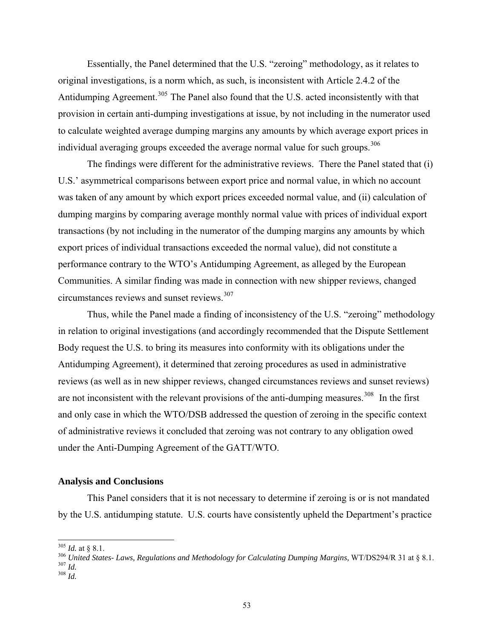Essentially, the Panel determined that the U.S. "zeroing" methodology, as it relates to original investigations, is a norm which, as such, is inconsistent with Article 2.4.2 of the Antidumping Agreement.<sup>[305](#page-52-0)</sup> The Panel also found that the U.S. acted inconsistently with that provision in certain anti-dumping investigations at issue, by not including in the numerator used to calculate weighted average dumping margins any amounts by which average export prices in individual averaging groups exceeded the average normal value for such groups.<sup>[306](#page-52-1)</sup>

The findings were different for the administrative reviews. There the Panel stated that (i) U.S.' asymmetrical comparisons between export price and normal value, in which no account was taken of any amount by which export prices exceeded normal value, and (ii) calculation of dumping margins by comparing average monthly normal value with prices of individual export transactions (by not including in the numerator of the dumping margins any amounts by which export prices of individual transactions exceeded the normal value), did not constitute a performance contrary to the WTO's Antidumping Agreement, as alleged by the European Communities. A similar finding was made in connection with new shipper reviews, changed circumstances reviews and sunset reviews.[307](#page-52-2)

Thus, while the Panel made a finding of inconsistency of the U.S. "zeroing" methodology in relation to original investigations (and accordingly recommended that the Dispute Settlement Body request the U.S. to bring its measures into conformity with its obligations under the Antidumping Agreement), it determined that zeroing procedures as used in administrative reviews (as well as in new shipper reviews, changed circumstances reviews and sunset reviews) are not inconsistent with the relevant provisions of the anti-dumping measures.<sup>[308](#page-52-3)</sup> In the first and only case in which the WTO/DSB addressed the question of zeroing in the specific context of administrative reviews it concluded that zeroing was not contrary to any obligation owed under the Anti-Dumping Agreement of the GATT/WTO.

#### **Analysis and Conclusions**

 This Panel considers that it is not necessary to determine if zeroing is or is not mandated by the U.S. antidumping statute. U.S. courts have consistently upheld the Department's practice

 $\overline{\phantom{a}}$ 

<span id="page-52-1"></span><span id="page-52-0"></span><sup>&</sup>lt;sup>305</sup> *Id.* at § 8.1.<br><sup>306</sup> *United States- Laws, Regulations and Methodology for Calculating Dumping Margins, WT/DS294/R 31 at* § 8.1.<br><sup>307</sup> *Id. Id* 

<span id="page-52-3"></span><span id="page-52-2"></span>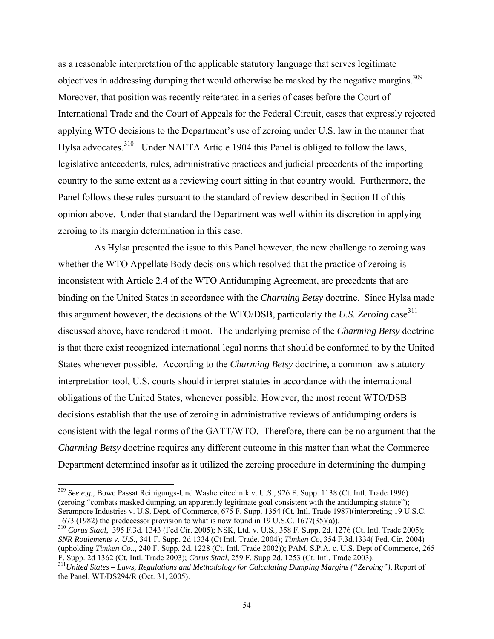as a reasonable interpretation of the applicable statutory language that serves legitimate objectives in addressing dumping that would otherwise be masked by the negative margins.<sup>[309](#page-53-0)</sup> Moreover, that position was recently reiterated in a series of cases before the Court of International Trade and the Court of Appeals for the Federal Circuit, cases that expressly rejected applying WTO decisions to the Department's use of zeroing under U.S. law in the manner that Hylsa advocates.[310](#page-53-1) Under NAFTA Article 1904 this Panel is obliged to follow the laws, legislative antecedents, rules, administrative practices and judicial precedents of the importing country to the same extent as a reviewing court sitting in that country would. Furthermore, the Panel follows these rules pursuant to the standard of review described in Section II of this opinion above. Under that standard the Department was well within its discretion in applying zeroing to its margin determination in this case.

 As Hylsa presented the issue to this Panel however, the new challenge to zeroing was whether the WTO Appellate Body decisions which resolved that the practice of zeroing is inconsistent with Article 2.4 of the WTO Antidumping Agreement, are precedents that are binding on the United States in accordance with the *Charming Betsy* doctrine. Since Hylsa made this argument however, the decisions of the WTO/DSB, particularly the *U.S. Zeroing* case<sup>[311](#page-53-2)</sup> discussed above, have rendered it moot. The underlying premise of the *Charming Betsy* doctrine is that there exist recognized international legal norms that should be conformed to by the United States whenever possible. According to the *Charming Betsy* doctrine, a common law statutory interpretation tool, U.S. courts should interpret statutes in accordance with the international obligations of the United States, whenever possible. However, the most recent WTO/DSB decisions establish that the use of zeroing in administrative reviews of antidumping orders is consistent with the legal norms of the GATT/WTO. Therefore, there can be no argument that the *Charming Betsy* doctrine requires any different outcome in this matter than what the Commerce Department determined insofar as it utilized the zeroing procedure in determining the dumping

 $\overline{\phantom{a}}$ 

<span id="page-53-0"></span><sup>309</sup> *See e.g.,* Bowe Passat Reinigungs-Und Washereitechnik v. U.S., 926 F. Supp. 1138 (Ct. Intl. Trade 1996) (zeroing "combats masked dumping, an apparently legitimate goal consistent with the antidumping statute"); Serampore Industries v. U.S. Dept. of Commerce, 675 F. Supp. 1354 (Ct. Intl. Trade 1987)(interpreting 19 U.S.C. 1673 (1982) the predecessor provision to what is now found in 19 U.S.C. 1677(35)(a)).

<span id="page-53-1"></span><sup>&</sup>lt;sup>310</sup> Corus Staal, 395 F.3d. 1343 (Fed Cir. 2005); NSK, Ltd. v. U.S., 358 F. Supp. 2d. 1276 (Ct. Intl. Trade 2005); *SNR Roulements v. U.S.,* 341 F. Supp. 2d 1334 (Ct Intl. Trade. 2004); *Timken Co*, 354 F.3d.1334( Fed. Cir. 2004) (upholding *Timken Co..,* 240 F. Supp. 2d. 1228 (Ct. Intl. Trade 2002)); PAM, S.P.A. c. U.S. Dept of Commerce, 265 F. Supp. 2d 1362 (Ct. Intl. Trade 2003); *Corus Staal*, 259 F. Supp 2d. 1253 (Ct. Intl. Trade 2003).

<span id="page-53-2"></span><sup>&</sup>lt;sup>311</sup>United States – Laws, Regulations and Methodology for Calculating Dumping Margins ("Zeroing"), Report of the Panel, WT/DS294/R (Oct. 31, 2005).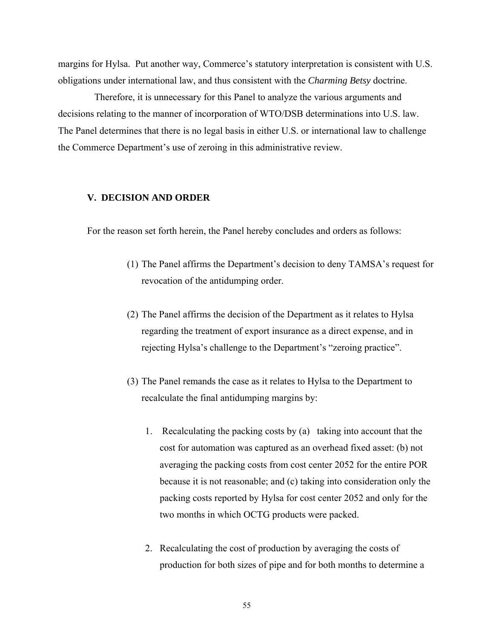margins for Hylsa. Put another way, Commerce's statutory interpretation is consistent with U.S. obligations under international law, and thus consistent with the *Charming Betsy* doctrine.

 Therefore, it is unnecessary for this Panel to analyze the various arguments and decisions relating to the manner of incorporation of WTO/DSB determinations into U.S. law. The Panel determines that there is no legal basis in either U.S. or international law to challenge the Commerce Department's use of zeroing in this administrative review.

#### **V. DECISION AND ORDER**

For the reason set forth herein, the Panel hereby concludes and orders as follows:

- (1) The Panel affirms the Department's decision to deny TAMSA's request for revocation of the antidumping order.
- (2) The Panel affirms the decision of the Department as it relates to Hylsa regarding the treatment of export insurance as a direct expense, and in rejecting Hylsa's challenge to the Department's "zeroing practice".
- (3) The Panel remands the case as it relates to Hylsa to the Department to recalculate the final antidumping margins by:
	- 1. Recalculating the packing costs by (a) taking into account that the cost for automation was captured as an overhead fixed asset: (b) not averaging the packing costs from cost center 2052 for the entire POR because it is not reasonable; and (c) taking into consideration only the packing costs reported by Hylsa for cost center 2052 and only for the two months in which OCTG products were packed.
	- 2. Recalculating the cost of production by averaging the costs of production for both sizes of pipe and for both months to determine a